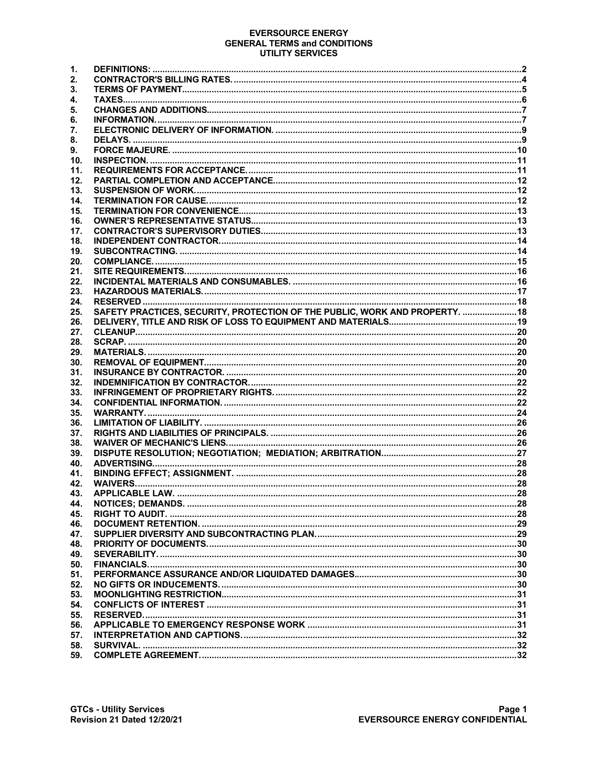#### **EVERSOURCE ENERGY GENERAL TERMS and CONDITIONS UTILITY SERVICES**

| 1.         |                                                                              |  |
|------------|------------------------------------------------------------------------------|--|
| 2.         |                                                                              |  |
| З.         |                                                                              |  |
| 4.         |                                                                              |  |
| 5.         |                                                                              |  |
| 6.         |                                                                              |  |
| 7.         |                                                                              |  |
| 8.         |                                                                              |  |
| 9.         |                                                                              |  |
| 10.        |                                                                              |  |
| 11.        |                                                                              |  |
| 12.        |                                                                              |  |
| 13.        |                                                                              |  |
| 14.        |                                                                              |  |
| 15.        |                                                                              |  |
| 16.        |                                                                              |  |
| 17.        |                                                                              |  |
| 18.        |                                                                              |  |
| 19.        |                                                                              |  |
| 20.        |                                                                              |  |
| 21.        |                                                                              |  |
| 22.        |                                                                              |  |
| 23.        |                                                                              |  |
| 24.        |                                                                              |  |
| 25.        | SAFETY PRACTICES, SECURITY, PROTECTION OF THE PUBLIC, WORK AND PROPERTY.  18 |  |
| 26.        |                                                                              |  |
| 27.        |                                                                              |  |
| 28.        |                                                                              |  |
| 29.        |                                                                              |  |
| 30.        |                                                                              |  |
| 31.        |                                                                              |  |
| 32.        |                                                                              |  |
| 33.        |                                                                              |  |
| 34.        |                                                                              |  |
| 35.<br>36. |                                                                              |  |
| 37.        |                                                                              |  |
| 38.        |                                                                              |  |
| 39.        |                                                                              |  |
| 40.        |                                                                              |  |
| 41.        |                                                                              |  |
| 42.        |                                                                              |  |
| 43.        |                                                                              |  |
| 44.        |                                                                              |  |
| 45.        |                                                                              |  |
| 46.        |                                                                              |  |
| 47.        |                                                                              |  |
| 48.        |                                                                              |  |
| 49.        |                                                                              |  |
| 50.        |                                                                              |  |
| 51.        |                                                                              |  |
| 52.        |                                                                              |  |
| 53.        |                                                                              |  |
| 54.        |                                                                              |  |
| 55.        |                                                                              |  |
| 56.        |                                                                              |  |
| 57.        |                                                                              |  |
| 58.        |                                                                              |  |
| 59.        |                                                                              |  |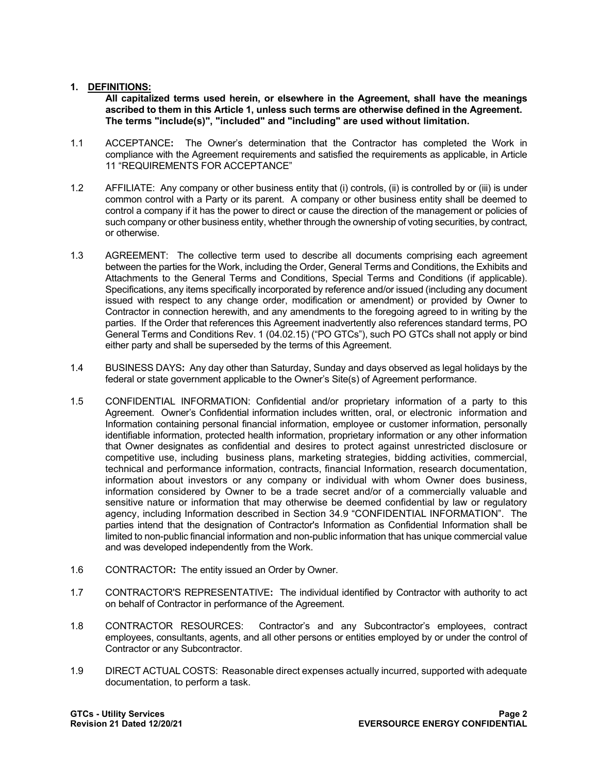### **1. DEFINITIONS:**

**All capitalized terms used herein, or elsewhere in the Agreement, shall have the meanings ascribed to them in this Article 1, unless such terms are otherwise defined in the Agreement. The terms "include(s)", "included" and "including" are used without limitation.**

- 1.1 ACCEPTANCE**:** The Owner's determination that the Contractor has completed the Work in compliance with the Agreement requirements and satisfied the requirements as applicable, in Article 11 "REQUIREMENTS FOR ACCEPTANCE"
- 1.2 AFFILIATE: Any company or other business entity that (i) controls, (ii) is controlled by or (iii) is under common control with a Party or its parent. A company or other business entity shall be deemed to control a company if it has the power to direct or cause the direction of the management or policies of such company or other business entity, whether through the ownership of voting securities, by contract, or otherwise.
- 1.3 AGREEMENT: The collective term used to describe all documents comprising each agreement between the parties for the Work, including the Order, General Terms and Conditions, the Exhibits and Attachments to the General Terms and Conditions, Special Terms and Conditions (if applicable). Specifications, any items specifically incorporated by reference and/or issued (including any document issued with respect to any change order, modification or amendment) or provided by Owner to Contractor in connection herewith, and any amendments to the foregoing agreed to in writing by the parties. If the Order that references this Agreement inadvertently also references standard terms, PO General Terms and Conditions Rev. 1 (04.02.15) ("PO GTCs"), such PO GTCs shall not apply or bind either party and shall be superseded by the terms of this Agreement.
- 1.4 BUSINESS DAYS**:** Any day other than Saturday, Sunday and days observed as legal holidays by the federal or state government applicable to the Owner's Site(s) of Agreement performance.
- 1.5 CONFIDENTIAL INFORMATION: Confidential and/or proprietary information of a party to this Agreement. Owner's Confidential information includes written, oral, or electronic information and Information containing personal financial information, employee or customer information, personally identifiable information, protected health information, proprietary information or any other information that Owner designates as confidential and desires to protect against unrestricted disclosure or competitive use, including business plans, marketing strategies, bidding activities, commercial, technical and performance information, contracts, financial Information, research documentation, information about investors or any company or individual with whom Owner does business, information considered by Owner to be a trade secret and/or of a commercially valuable and sensitive nature or information that may otherwise be deemed confidential by law or regulatory agency, including Information described in Section 34.9 "CONFIDENTIAL INFORMATION". The parties intend that the designation of Contractor's Information as Confidential Information shall be limited to non-public financial information and non-public information that has unique commercial value and was developed independently from the Work.
- 1.6 CONTRACTOR**:** The entity issued an Order by Owner.
- 1.7 CONTRACTOR'S REPRESENTATIVE**:** The individual identified by Contractor with authority to act on behalf of Contractor in performance of the Agreement.
- 1.8 CONTRACTOR RESOURCES: Contractor's and any Subcontractor's employees, contract employees, consultants, agents, and all other persons or entities employed by or under the control of Contractor or any Subcontractor.
- 1.9 DIRECT ACTUAL COSTS: Reasonable direct expenses actually incurred, supported with adequate documentation, to perform a task.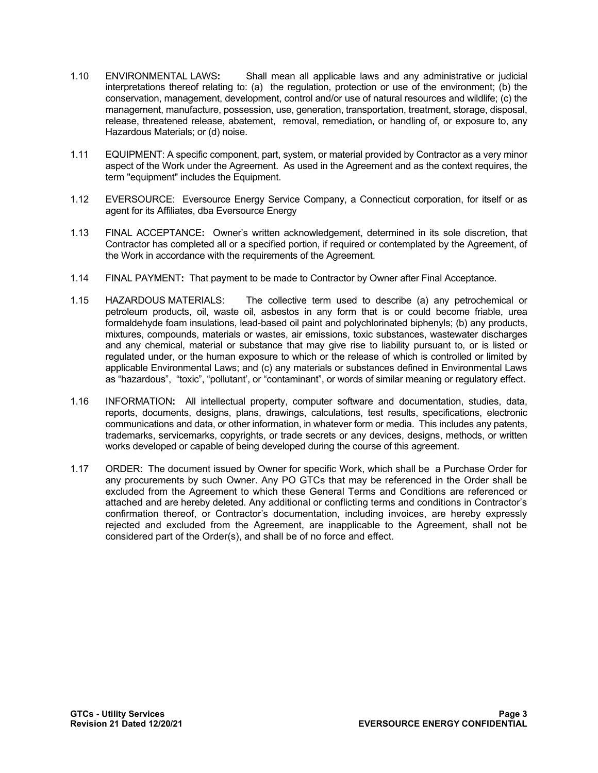- 1.10 ENVIRONMENTAL LAWS**:** Shall mean all applicable laws and any administrative or judicial interpretations thereof relating to: (a) the regulation, protection or use of the environment; (b) the conservation, management, development, control and/or use of natural resources and wildlife; (c) the management, manufacture, possession, use, generation, transportation, treatment, storage, disposal, release, threatened release, abatement, removal, remediation, or handling of, or exposure to, any Hazardous Materials; or (d) noise.
- 1.11 EQUIPMENT: A specific component, part, system, or material provided by Contractor as a very minor aspect of the Work under the Agreement. As used in the Agreement and as the context requires, the term "equipment" includes the Equipment.
- 1.12 EVERSOURCE: Eversource Energy Service Company, a Connecticut corporation, for itself or as agent for its Affiliates, dba Eversource Energy
- 1.13 FINAL ACCEPTANCE**:** Owner's written acknowledgement, determined in its sole discretion, that Contractor has completed all or a specified portion, if required or contemplated by the Agreement, of the Work in accordance with the requirements of the Agreement.
- 1.14 FINAL PAYMENT**:** That payment to be made to Contractor by Owner after Final Acceptance.
- 1.15 HAZARDOUS MATERIALS: The collective term used to describe (a) any petrochemical or petroleum products, oil, waste oil, asbestos in any form that is or could become friable, urea formaldehyde foam insulations, lead-based oil paint and polychlorinated biphenyls; (b) any products, mixtures, compounds, materials or wastes, air emissions, toxic substances, wastewater discharges and any chemical, material or substance that may give rise to liability pursuant to, or is listed or regulated under, or the human exposure to which or the release of which is controlled or limited by applicable Environmental Laws; and (c) any materials or substances defined in Environmental Laws as "hazardous", "toxic", "pollutant', or "contaminant", or words of similar meaning or regulatory effect.
- 1.16 INFORMATION**:** All intellectual property, computer software and documentation, studies, data, reports, documents, designs, plans, drawings, calculations, test results, specifications, electronic communications and data, or other information, in whatever form or media. This includes any patents, trademarks, servicemarks, copyrights, or trade secrets or any devices, designs, methods, or written works developed or capable of being developed during the course of this agreement.
- 1.17 ORDER: The document issued by Owner for specific Work, which shall be a Purchase Order for any procurements by such Owner. Any PO GTCs that may be referenced in the Order shall be excluded from the Agreement to which these General Terms and Conditions are referenced or attached and are hereby deleted. Any additional or conflicting terms and conditions in Contractor's confirmation thereof, or Contractor's documentation, including invoices, are hereby expressly rejected and excluded from the Agreement, are inapplicable to the Agreement, shall not be considered part of the Order(s), and shall be of no force and effect.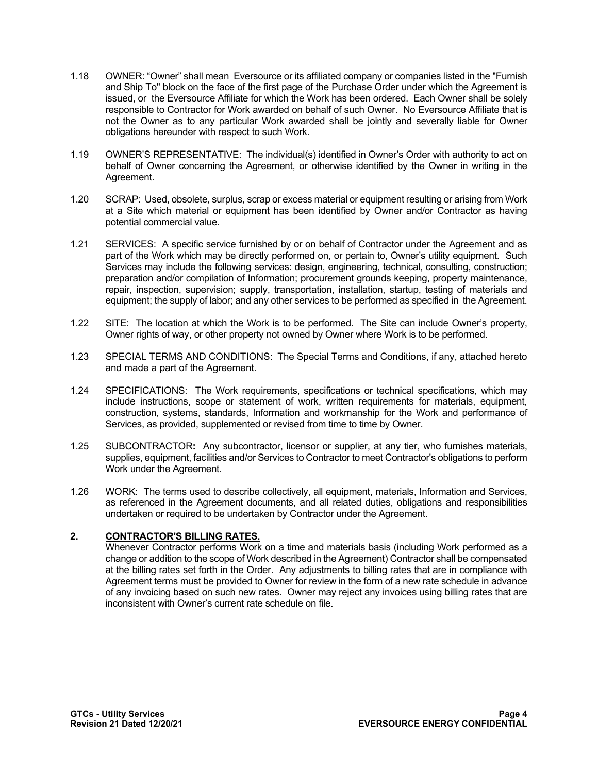- 1.18 OWNER: "Owner" shall mean Eversource or its affiliated company or companies listed in the "Furnish and Ship To" block on the face of the first page of the Purchase Order under which the Agreement is issued, or the Eversource Affiliate for which the Work has been ordered. Each Owner shall be solely responsible to Contractor for Work awarded on behalf of such Owner. No Eversource Affiliate that is not the Owner as to any particular Work awarded shall be jointly and severally liable for Owner obligations hereunder with respect to such Work.
- 1.19 OWNER'S REPRESENTATIVE: The individual(s) identified in Owner's Order with authority to act on behalf of Owner concerning the Agreement, or otherwise identified by the Owner in writing in the Agreement.
- 1.20 SCRAP: Used, obsolete, surplus, scrap or excess material or equipment resulting or arising from Work at a Site which material or equipment has been identified by Owner and/or Contractor as having potential commercial value.
- 1.21 SERVICES: A specific service furnished by or on behalf of Contractor under the Agreement and as part of the Work which may be directly performed on, or pertain to, Owner's utility equipment. Such Services may include the following services: design, engineering, technical, consulting, construction; preparation and/or compilation of Information; procurement grounds keeping, property maintenance, repair, inspection, supervision; supply, transportation, installation, startup, testing of materials and equipment; the supply of labor; and any other services to be performed as specified in the Agreement.
- 1.22 SITE: The location at which the Work is to be performed. The Site can include Owner's property, Owner rights of way, or other property not owned by Owner where Work is to be performed.
- 1.23 SPECIAL TERMS AND CONDITIONS: The Special Terms and Conditions, if any, attached hereto and made a part of the Agreement.
- 1.24 SPECIFICATIONS:The Work requirements, specifications or technical specifications, which may include instructions, scope or statement of work, written requirements for materials, equipment, construction, systems, standards, Information and workmanship for the Work and performance of Services, as provided, supplemented or revised from time to time by Owner.
- 1.25 SUBCONTRACTOR**:** Any subcontractor, licensor or supplier, at any tier, who furnishes materials, supplies, equipment, facilities and/or Services to Contractor to meet Contractor's obligations to perform Work under the Agreement.
- 1.26 WORK: The terms used to describe collectively, all equipment, materials, Information and Services, as referenced in the Agreement documents, and all related duties, obligations and responsibilities undertaken or required to be undertaken by Contractor under the Agreement.

## **2. CONTRACTOR'S BILLING RATES.**

Whenever Contractor performs Work on a time and materials basis (including Work performed as a change or addition to the scope of Work described in the Agreement) Contractor shall be compensated at the billing rates set forth in the Order. Any adjustments to billing rates that are in compliance with Agreement terms must be provided to Owner for review in the form of a new rate schedule in advance of any invoicing based on such new rates. Owner may reject any invoices using billing rates that are inconsistent with Owner's current rate schedule on file.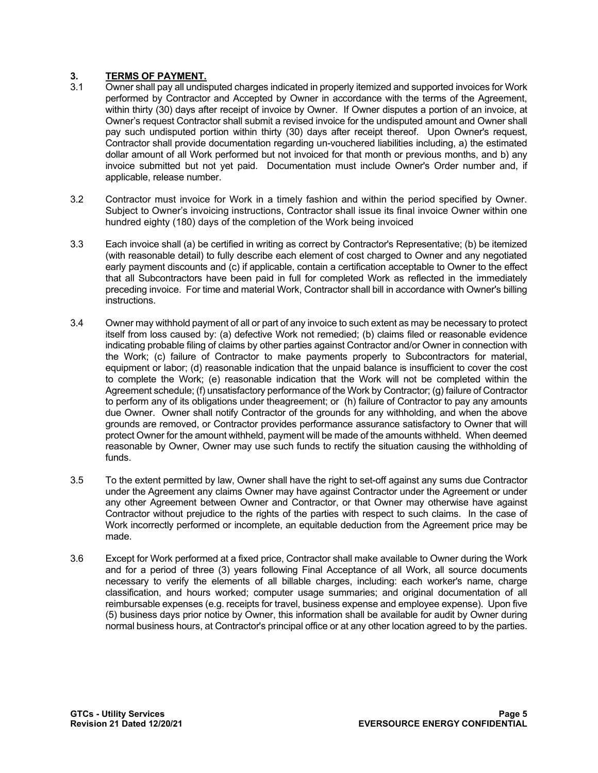# **3. TERMS OF PAYMENT.**<br>3.1 Owner shall pay all undis

- Owner shall pay all undisputed charges indicated in properly itemized and supported invoices for Work performed by Contractor and Accepted by Owner in accordance with the terms of the Agreement, within thirty (30) days after receipt of invoice by Owner. If Owner disputes a portion of an invoice, at Owner's request Contractor shall submit a revised invoice for the undisputed amount and Owner shall pay such undisputed portion within thirty (30) days after receipt thereof. Upon Owner's request, Contractor shall provide documentation regarding un-vouchered liabilities including, a) the estimated dollar amount of all Work performed but not invoiced for that month or previous months, and b) any invoice submitted but not yet paid. Documentation must include Owner's Order number and, if applicable, release number.
- 3.2 Contractor must invoice for Work in a timely fashion and within the period specified by Owner. Subject to Owner's invoicing instructions, Contractor shall issue its final invoice Owner within one hundred eighty (180) days of the completion of the Work being invoiced
- 3.3 Each invoice shall (a) be certified in writing as correct by Contractor's Representative; (b) be itemized (with reasonable detail) to fully describe each element of cost charged to Owner and any negotiated early payment discounts and (c) if applicable, contain a certification acceptable to Owner to the effect that all Subcontractors have been paid in full for completed Work as reflected in the immediately preceding invoice. For time and material Work, Contractor shall bill in accordance with Owner's billing instructions.
- 3.4 Owner may withhold payment of all or part of any invoice to such extent as may be necessary to protect itself from loss caused by: (a) defective Work not remedied; (b) claims filed or reasonable evidence indicating probable filing of claims by other parties against Contractor and/or Owner in connection with the Work; (c) failure of Contractor to make payments properly to Subcontractors for material, equipment or labor; (d) reasonable indication that the unpaid balance is insufficient to cover the cost to complete the Work; (e) reasonable indication that the Work will not be completed within the Agreement schedule; (f) unsatisfactory performance of the Work by Contractor; (g) failure of Contractor to perform any of its obligations under theagreement; or (h) failure of Contractor to pay any amounts due Owner. Owner shall notify Contractor of the grounds for any withholding, and when the above grounds are removed, or Contractor provides performance assurance satisfactory to Owner that will protect Owner for the amount withheld, payment will be made of the amounts withheld. When deemed reasonable by Owner, Owner may use such funds to rectify the situation causing the withholding of funds.
- 3.5 To the extent permitted by law, Owner shall have the right to set-off against any sums due Contractor under the Agreement any claims Owner may have against Contractor under the Agreement or under any other Agreement between Owner and Contractor, or that Owner may otherwise have against Contractor without prejudice to the rights of the parties with respect to such claims. In the case of Work incorrectly performed or incomplete, an equitable deduction from the Agreement price may be made.
- 3.6 Except for Work performed at a fixed price, Contractor shall make available to Owner during the Work and for a period of three (3) years following Final Acceptance of all Work, all source documents necessary to verify the elements of all billable charges, including: each worker's name, charge classification, and hours worked; computer usage summaries; and original documentation of all reimbursable expenses (e.g. receipts for travel, business expense and employee expense). Upon five (5) business days prior notice by Owner, this information shall be available for audit by Owner during normal business hours, at Contractor's principal office or at any other location agreed to by the parties.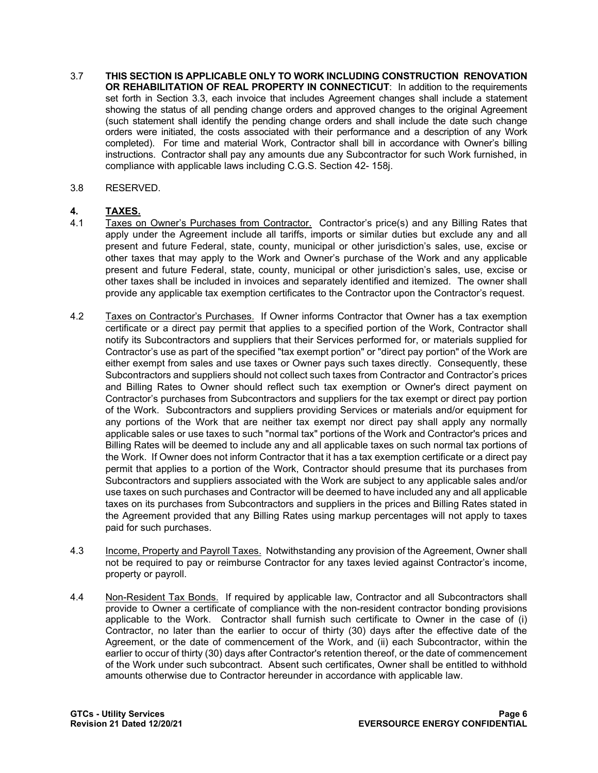- 3.7 **THIS SECTION IS APPLICABLE ONLY TO WORK INCLUDING CONSTRUCTION RENOVATION OR REHABILITATION OF REAL PROPERTY IN CONNECTICUT**: In addition to the requirements set forth in Section 3.3, each invoice that includes Agreement changes shall include a statement showing the status of all pending change orders and approved changes to the original Agreement (such statement shall identify the pending change orders and shall include the date such change orders were initiated, the costs associated with their performance and a description of any Work completed). For time and material Work, Contractor shall bill in accordance with Owner's billing instructions. Contractor shall pay any amounts due any Subcontractor for such Work furnished, in compliance with applicable laws including C.G.S. Section 42- 158j.
- 3.8 RESERVED.

## **4. TAXES.**

- 4.1 Taxes on Owner's Purchases from Contractor. Contractor's price(s) and any Billing Rates that apply under the Agreement include all tariffs, imports or similar duties but exclude any and all present and future Federal, state, county, municipal or other jurisdiction's sales, use, excise or other taxes that may apply to the Work and Owner's purchase of the Work and any applicable present and future Federal, state, county, municipal or other jurisdiction's sales, use, excise or other taxes shall be included in invoices and separately identified and itemized. The owner shall provide any applicable tax exemption certificates to the Contractor upon the Contractor's request.
- 4.2 Taxes on Contractor's Purchases. If Owner informs Contractor that Owner has a tax exemption certificate or a direct pay permit that applies to a specified portion of the Work, Contractor shall notify its Subcontractors and suppliers that their Services performed for, or materials supplied for Contractor's use as part of the specified "tax exempt portion" or "direct pay portion" of the Work are either exempt from sales and use taxes or Owner pays such taxes directly. Consequently, these Subcontractors and suppliers should not collect such taxes from Contractor and Contractor's prices and Billing Rates to Owner should reflect such tax exemption or Owner's direct payment on Contractor's purchases from Subcontractors and suppliers for the tax exempt or direct pay portion of the Work. Subcontractors and suppliers providing Services or materials and/or equipment for any portions of the Work that are neither tax exempt nor direct pay shall apply any normally applicable sales or use taxes to such "normal tax" portions of the Work and Contractor's prices and Billing Rates will be deemed to include any and all applicable taxes on such normal tax portions of the Work. If Owner does not inform Contractor that it has a tax exemption certificate or a direct pay permit that applies to a portion of the Work, Contractor should presume that its purchases from Subcontractors and suppliers associated with the Work are subject to any applicable sales and/or use taxes on such purchases and Contractor will be deemed to have included any and all applicable taxes on its purchases from Subcontractors and suppliers in the prices and Billing Rates stated in the Agreement provided that any Billing Rates using markup percentages will not apply to taxes paid for such purchases.
- 4.3 Income, Property and Payroll Taxes. Notwithstanding any provision of the Agreement, Owner shall not be required to pay or reimburse Contractor for any taxes levied against Contractor's income, property or payroll.
- 4.4 Non-Resident Tax Bonds. If required by applicable law, Contractor and all Subcontractors shall provide to Owner a certificate of compliance with the non-resident contractor bonding provisions applicable to the Work. Contractor shall furnish such certificate to Owner in the case of (i) Contractor, no later than the earlier to occur of thirty (30) days after the effective date of the Agreement, or the date of commencement of the Work, and (ii) each Subcontractor, within the earlier to occur of thirty (30) days after Contractor's retention thereof, or the date of commencement of the Work under such subcontract. Absent such certificates, Owner shall be entitled to withhold amounts otherwise due to Contractor hereunder in accordance with applicable law.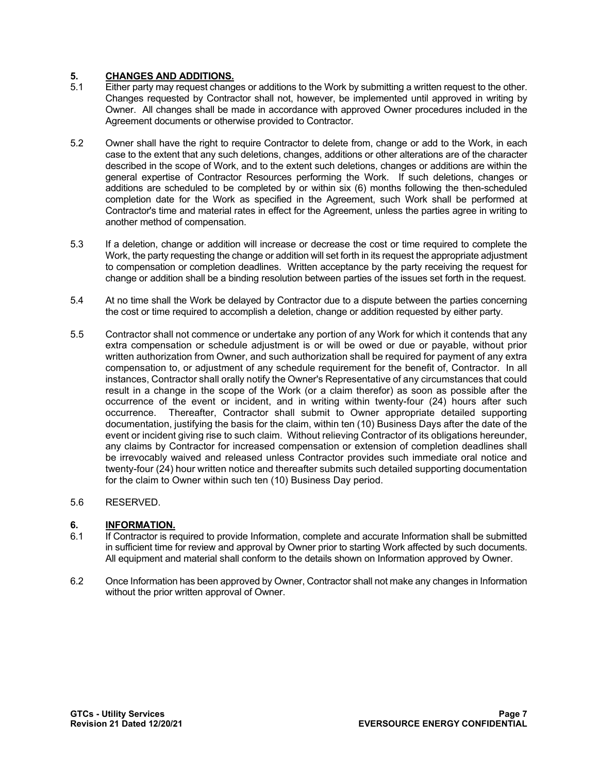# **5. CHANGES AND ADDITIONS.**

- Either party may request changes or additions to the Work by submitting a written request to the other. Changes requested by Contractor shall not, however, be implemented until approved in writing by Owner. All changes shall be made in accordance with approved Owner procedures included in the Agreement documents or otherwise provided to Contractor.
- 5.2 Owner shall have the right to require Contractor to delete from, change or add to the Work, in each case to the extent that any such deletions, changes, additions or other alterations are of the character described in the scope of Work, and to the extent such deletions, changes or additions are within the general expertise of Contractor Resources performing the Work. If such deletions, changes or additions are scheduled to be completed by or within six (6) months following the then-scheduled completion date for the Work as specified in the Agreement, such Work shall be performed at Contractor's time and material rates in effect for the Agreement, unless the parties agree in writing to another method of compensation.
- 5.3 If a deletion, change or addition will increase or decrease the cost or time required to complete the Work, the party requesting the change or addition will set forth in its request the appropriate adjustment to compensation or completion deadlines. Written acceptance by the party receiving the request for change or addition shall be a binding resolution between parties of the issues set forth in the request.
- 5.4 At no time shall the Work be delayed by Contractor due to a dispute between the parties concerning the cost or time required to accomplish a deletion, change or addition requested by either party.
- 5.5 Contractor shall not commence or undertake any portion of any Work for which it contends that any extra compensation or schedule adjustment is or will be owed or due or payable, without prior written authorization from Owner, and such authorization shall be required for payment of any extra compensation to, or adjustment of any schedule requirement for the benefit of, Contractor. In all instances, Contractor shall orally notify the Owner's Representative of any circumstances that could result in a change in the scope of the Work (or a claim therefor) as soon as possible after the occurrence of the event or incident, and in writing within twenty-four (24) hours after such occurrence. Thereafter, Contractor shall submit to Owner appropriate detailed supporting documentation, justifying the basis for the claim, within ten (10) Business Days after the date of the event or incident giving rise to such claim. Without relieving Contractor of its obligations hereunder, any claims by Contractor for increased compensation or extension of completion deadlines shall be irrevocably waived and released unless Contractor provides such immediate oral notice and twenty-four (24) hour written notice and thereafter submits such detailed supporting documentation for the claim to Owner within such ten (10) Business Day period.

## 5.6 RESERVED.

# **6. INFORMATION.**<br>6.1 **If Contractor is re**

- If Contractor is required to provide Information, complete and accurate Information shall be submitted in sufficient time for review and approval by Owner prior to starting Work affected by such documents. All equipment and material shall conform to the details shown on Information approved by Owner.
- 6.2 Once Information has been approved by Owner, Contractor shall not make any changes in Information without the prior written approval of Owner.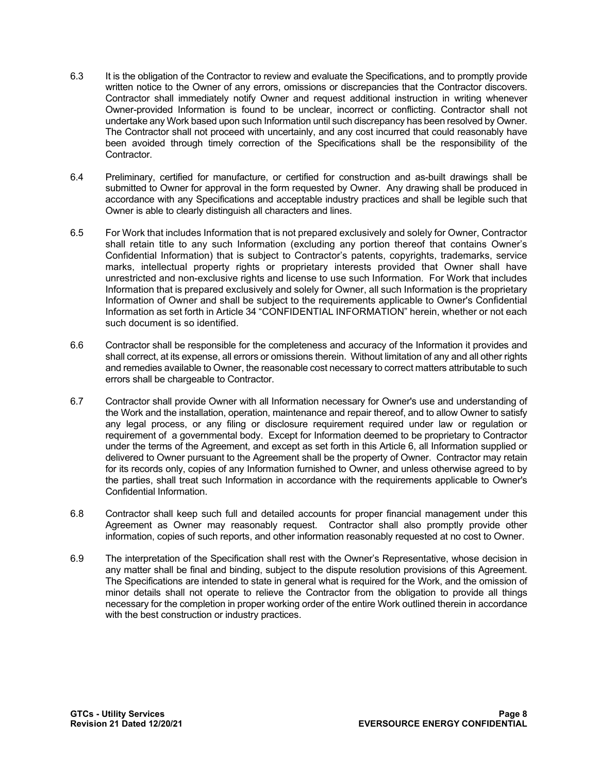- 6.3 It is the obligation of the Contractor to review and evaluate the Specifications, and to promptly provide written notice to the Owner of any errors, omissions or discrepancies that the Contractor discovers. Contractor shall immediately notify Owner and request additional instruction in writing whenever Owner-provided Information is found to be unclear, incorrect or conflicting. Contractor shall not undertake any Work based upon such Information until such discrepancy has been resolved by Owner. The Contractor shall not proceed with uncertainly, and any cost incurred that could reasonably have been avoided through timely correction of the Specifications shall be the responsibility of the Contractor.
- 6.4 Preliminary, certified for manufacture, or certified for construction and as-built drawings shall be submitted to Owner for approval in the form requested by Owner. Any drawing shall be produced in accordance with any Specifications and acceptable industry practices and shall be legible such that Owner is able to clearly distinguish all characters and lines.
- 6.5 For Work that includes Information that is not prepared exclusively and solely for Owner, Contractor shall retain title to any such Information (excluding any portion thereof that contains Owner's Confidential Information) that is subject to Contractor's patents, copyrights, trademarks, service marks, intellectual property rights or proprietary interests provided that Owner shall have unrestricted and non-exclusive rights and license to use such Information. For Work that includes Information that is prepared exclusively and solely for Owner, all such Information is the proprietary Information of Owner and shall be subject to the requirements applicable to Owner's Confidential Information as set forth in Article 34 "CONFIDENTIAL INFORMATION" herein, whether or not each such document is so identified.
- 6.6 Contractor shall be responsible for the completeness and accuracy of the Information it provides and shall correct, at its expense, all errors or omissions therein. Without limitation of any and all other rights and remedies available to Owner, the reasonable cost necessary to correct matters attributable to such errors shall be chargeable to Contractor.
- 6.7 Contractor shall provide Owner with all Information necessary for Owner's use and understanding of the Work and the installation, operation, maintenance and repair thereof, and to allow Owner to satisfy any legal process, or any filing or disclosure requirement required under law or regulation or requirement of a governmental body. Except for Information deemed to be proprietary to Contractor under the terms of the Agreement, and except as set forth in this Article 6, all Information supplied or delivered to Owner pursuant to the Agreement shall be the property of Owner. Contractor may retain for its records only, copies of any Information furnished to Owner, and unless otherwise agreed to by the parties, shall treat such Information in accordance with the requirements applicable to Owner's Confidential Information.
- 6.8 Contractor shall keep such full and detailed accounts for proper financial management under this Agreement as Owner may reasonably request. Contractor shall also promptly provide other information, copies of such reports, and other information reasonably requested at no cost to Owner.
- 6.9 The interpretation of the Specification shall rest with the Owner's Representative, whose decision in any matter shall be final and binding, subject to the dispute resolution provisions of this Agreement. The Specifications are intended to state in general what is required for the Work, and the omission of minor details shall not operate to relieve the Contractor from the obligation to provide all things necessary for the completion in proper working order of the entire Work outlined therein in accordance with the best construction or industry practices.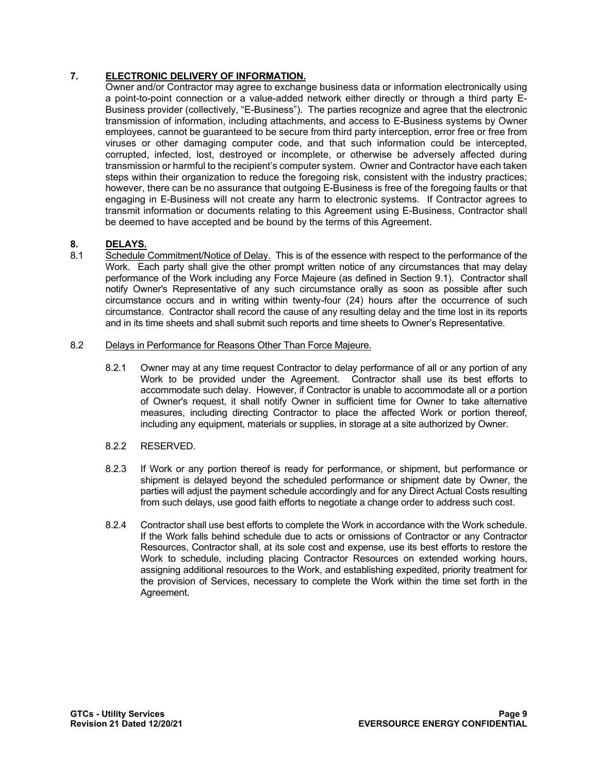## **7. ELECTRONIC DELIVERY OF INFORMATION.**

Owner and/or Contractor may agree to exchange business data or information electronically using a point-to-point connection or a value-added network either directly or through a third party E-Business provider (collectively, "E-Business"). The parties recognize and agree that the electronic transmission of information, including attachments, and access to E-Business systems by Owner employees, cannot be guaranteed to be secure from third party interception, error free or free from viruses or other damaging computer code, and that such information could be intercepted, corrupted, infected, lost, destroyed or incomplete, or otherwise be adversely affected during transmission or harmful to the recipient's computer system. Owner and Contractor have each taken steps within their organization to reduce the foregoing risk, consistent with the industry practices; however, there can be no assurance that outgoing E-Business is free of the foregoing faults or that engaging in E-Business will not create any harm to electronic systems. If Contractor agrees to transmit information or documents relating to this Agreement using E-Business, Contractor shall be deemed to have accepted and be bound by the terms of this Agreement.

### **8. DELAYS.**

8.1 Schedule Commitment/Notice of Delay. This is of the essence with respect to the performance of the Work. Each party shall give the other prompt written notice of any circumstances that may delay performance of the Work including any Force Majeure (as defined in Section 9.1). Contractor shall notify Owner's Representative of any such circumstance orally as soon as possible after such circumstance occurs and in writing within twenty-four (24) hours after the occurrence of such circumstance. Contractor shall record the cause of any resulting delay and the time lost in its reports and in its time sheets and shall submit such reports and time sheets to Owner's Representative.

#### 8.2 Delays in Performance for Reasons Other Than Force Majeure.

8.2.1 Owner may at any time request Contractor to delay performance of all or any portion of any Work to be provided under the Agreement. Contractor shall use its best efforts to accommodate such delay. However, if Contractor is unable to accommodate all or a portion of Owner's request, it shall notify Owner in sufficient time for Owner to take alternative measures, including directing Contractor to place the affected Work or portion thereof, including any equipment, materials or supplies, in storage at a site authorized by Owner.

#### 8.2.2 RESERVED.

- 8.2.3 If Work or any portion thereof is ready for performance, or shipment, but performance or shipment is delayed beyond the scheduled performance or shipment date by Owner, the parties will adjust the payment schedule accordingly and for any Direct Actual Costs resulting from such delays, use good faith efforts to negotiate a change order to address such cost.
- 8.2.4 Contractor shall use best efforts to complete the Work in accordance with the Work schedule. If the Work falls behind schedule due to acts or omissions of Contractor or any Contractor Resources, Contractor shall, at its sole cost and expense, use its best efforts to restore the Work to schedule, including placing Contractor Resources on extended working hours, assigning additional resources to the Work, and establishing expedited, priority treatment for the provision of Services, necessary to complete the Work within the time set forth in the Agreement.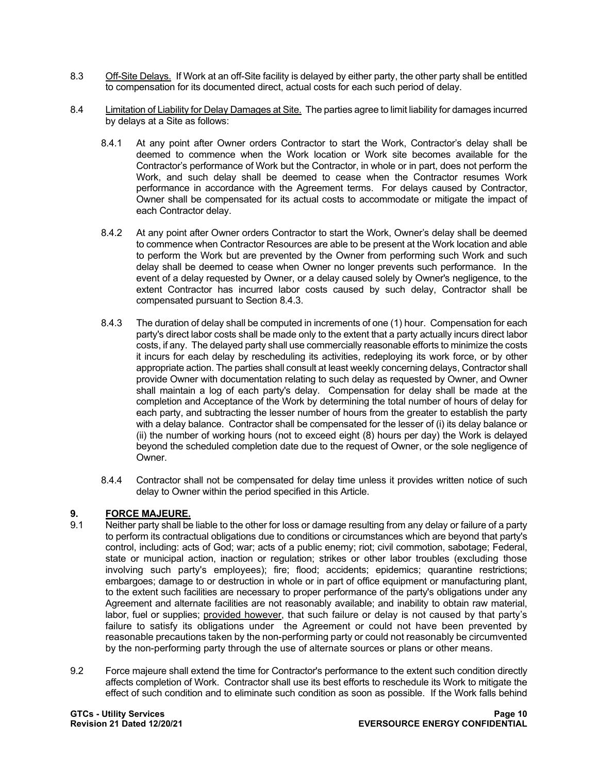- 8.3 Off-Site Delays. If Work at an off-Site facility is delayed by either party, the other party shall be entitled to compensation for its documented direct, actual costs for each such period of delay.
- 8.4 Limitation of Liability for Delay Damages at Site. The parties agree to limit liability for damages incurred by delays at a Site as follows:
	- 8.4.1 At any point after Owner orders Contractor to start the Work, Contractor's delay shall be deemed to commence when the Work location or Work site becomes available for the Contractor's performance of Work but the Contractor, in whole or in part, does not perform the Work, and such delay shall be deemed to cease when the Contractor resumes Work performance in accordance with the Agreement terms. For delays caused by Contractor, Owner shall be compensated for its actual costs to accommodate or mitigate the impact of each Contractor delay.
	- 8.4.2 At any point after Owner orders Contractor to start the Work, Owner's delay shall be deemed to commence when Contractor Resources are able to be present at the Work location and able to perform the Work but are prevented by the Owner from performing such Work and such delay shall be deemed to cease when Owner no longer prevents such performance. In the event of a delay requested by Owner, or a delay caused solely by Owner's negligence, to the extent Contractor has incurred labor costs caused by such delay, Contractor shall be compensated pursuant to Section 8.4.3.
	- 8.4.3 The duration of delay shall be computed in increments of one (1) hour. Compensation for each party's direct labor costs shall be made only to the extent that a party actually incurs direct labor costs, if any. The delayed party shall use commercially reasonable efforts to minimize the costs it incurs for each delay by rescheduling its activities, redeploying its work force, or by other appropriate action. The parties shall consult at least weekly concerning delays, Contractor shall provide Owner with documentation relating to such delay as requested by Owner, and Owner shall maintain a log of each party's delay. Compensation for delay shall be made at the completion and Acceptance of the Work by determining the total number of hours of delay for each party, and subtracting the lesser number of hours from the greater to establish the party with a delay balance. Contractor shall be compensated for the lesser of (i) its delay balance or (ii) the number of working hours (not to exceed eight (8) hours per day) the Work is delayed beyond the scheduled completion date due to the request of Owner, or the sole negligence of Owner.
	- 8.4.4 Contractor shall not be compensated for delay time unless it provides written notice of such delay to Owner within the period specified in this Article.

## **9. FORCE MAJEURE.**

- 9.1 Neither party shall be liable to the other for loss or damage resulting from any delay or failure of a party to perform its contractual obligations due to conditions or circumstances which are beyond that party's control, including: acts of God; war; acts of a public enemy; riot; civil commotion, sabotage; Federal, state or municipal action, inaction or regulation; strikes or other labor troubles (excluding those involving such party's employees); fire; flood; accidents; epidemics; quarantine restrictions; embargoes; damage to or destruction in whole or in part of office equipment or manufacturing plant, to the extent such facilities are necessary to proper performance of the party's obligations under any Agreement and alternate facilities are not reasonably available; and inability to obtain raw material, labor, fuel or supplies; provided however, that such failure or delay is not caused by that party's failure to satisfy its obligations under the Agreement or could not have been prevented by reasonable precautions taken by the non-performing party or could not reasonably be circumvented by the non-performing party through the use of alternate sources or plans or other means.
- 9.2 Force majeure shall extend the time for Contractor's performance to the extent such condition directly affects completion of Work. Contractor shall use its best efforts to reschedule its Work to mitigate the effect of such condition and to eliminate such condition as soon as possible. If the Work falls behind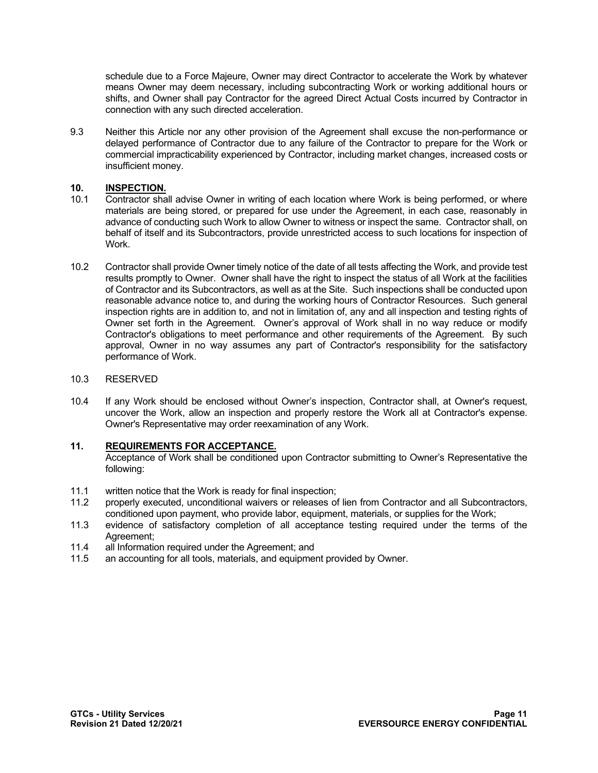schedule due to a Force Majeure, Owner may direct Contractor to accelerate the Work by whatever means Owner may deem necessary, including subcontracting Work or working additional hours or shifts, and Owner shall pay Contractor for the agreed Direct Actual Costs incurred by Contractor in connection with any such directed acceleration.

9.3 Neither this Article nor any other provision of the Agreement shall excuse the non-performance or delayed performance of Contractor due to any failure of the Contractor to prepare for the Work or commercial impracticability experienced by Contractor, including market changes, increased costs or insufficient money.

## 10. **INSPECTION.**<br>10.1 Contractor sha

- Contractor shall advise Owner in writing of each location where Work is being performed, or where materials are being stored, or prepared for use under the Agreement, in each case, reasonably in advance of conducting such Work to allow Owner to witness or inspect the same. Contractor shall, on behalf of itself and its Subcontractors, provide unrestricted access to such locations for inspection of **Work**
- 10.2 Contractor shall provide Owner timely notice of the date of all tests affecting the Work, and provide test results promptly to Owner. Owner shall have the right to inspect the status of all Work at the facilities of Contractor and its Subcontractors, as well as at the Site. Such inspections shall be conducted upon reasonable advance notice to, and during the working hours of Contractor Resources. Such general inspection rights are in addition to, and not in limitation of, any and all inspection and testing rights of Owner set forth in the Agreement. Owner's approval of Work shall in no way reduce or modify Contractor's obligations to meet performance and other requirements of the Agreement. By such approval, Owner in no way assumes any part of Contractor's responsibility for the satisfactory performance of Work.

### 10.3 RESERVED

10.4 If any Work should be enclosed without Owner's inspection, Contractor shall, at Owner's request, uncover the Work, allow an inspection and properly restore the Work all at Contractor's expense. Owner's Representative may order reexamination of any Work.

## **11. REQUIREMENTS FOR ACCEPTANCE.**

Acceptance of Work shall be conditioned upon Contractor submitting to Owner's Representative the following:

- 11.1 written notice that the Work is ready for final inspection;
- 11.2 properly executed, unconditional waivers or releases of lien from Contractor and all Subcontractors, conditioned upon payment, who provide labor, equipment, materials, or supplies for the Work;
- 11.3 evidence of satisfactory completion of all acceptance testing required under the terms of the Agreement;
- 11.4 all Information required under the Agreement; and
- 11.5 an accounting for all tools, materials, and equipment provided by Owner.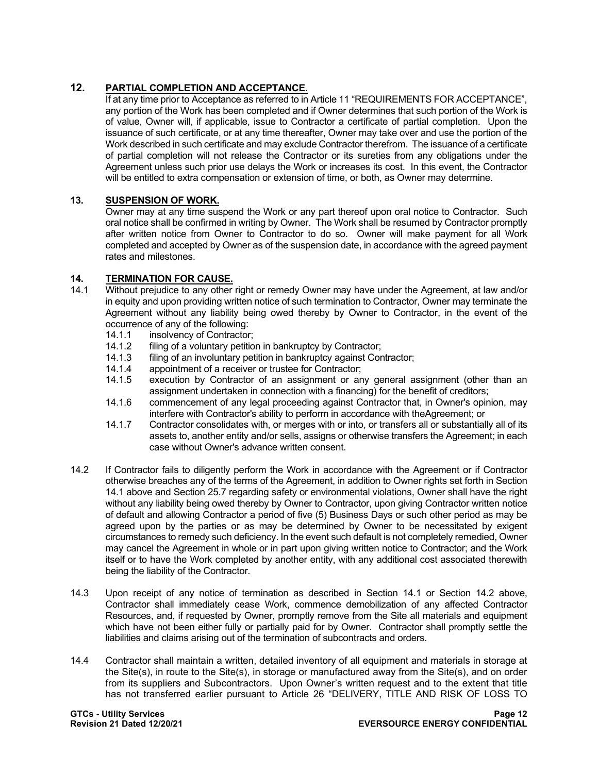## **12. PARTIAL COMPLETION AND ACCEPTANCE.**

If at any time prior to Acceptance as referred to in Article 11 "REQUIREMENTS FOR ACCEPTANCE", any portion of the Work has been completed and if Owner determines that such portion of the Work is of value, Owner will, if applicable, issue to Contractor a certificate of partial completion. Upon the issuance of such certificate, or at any time thereafter, Owner may take over and use the portion of the Work described in such certificate and may exclude Contractor therefrom. The issuance of a certificate of partial completion will not release the Contractor or its sureties from any obligations under the Agreement unless such prior use delays the Work or increases its cost. In this event, the Contractor will be entitled to extra compensation or extension of time, or both, as Owner may determine.

## **13. SUSPENSION OF WORK.**

Owner may at any time suspend the Work or any part thereof upon oral notice to Contractor. Such oral notice shall be confirmed in writing by Owner. The Work shall be resumed by Contractor promptly after written notice from Owner to Contractor to do so. Owner will make payment for all Work completed and accepted by Owner as of the suspension date, in accordance with the agreed payment rates and milestones.

## **14. TERMINATION FOR CAUSE.**

- Without prejudice to any other right or remedy Owner may have under the Agreement, at law and/or in equity and upon providing written notice of such termination to Contractor, Owner may terminate the Agreement without any liability being owed thereby by Owner to Contractor, in the event of the occurrence of any of the following:<br>14.1.1 insolvency of Contractor
	- insolvency of Contractor;
	- 14.1.2 filing of a voluntary petition in bankruptcy by Contractor;
	- 14.1.3 filing of an involuntary petition in bankruptcy against Contractor;
	- 14.1.4 appointment of a receiver or trustee for Contractor;
	- 14.1.5 execution by Contractor of an assignment or any general assignment (other than an assignment undertaken in connection with a financing) for the benefit of creditors;
	- 14.1.6 commencement of any legal proceeding against Contractor that, in Owner's opinion, may interfere with Contractor's ability to perform in accordance with theAgreement; or
	- 14.1.7 Contractor consolidates with, or merges with or into, or transfers all or substantially all of its assets to, another entity and/or sells, assigns or otherwise transfers the Agreement; in each case without Owner's advance written consent.
- 14.2 If Contractor fails to diligently perform the Work in accordance with the Agreement or if Contractor otherwise breaches any of the terms of the Agreement, in addition to Owner rights set forth in Section 14.1 above and Section 25.7 regarding safety or environmental violations, Owner shall have the right without any liability being owed thereby by Owner to Contractor, upon giving Contractor written notice of default and allowing Contractor a period of five (5) Business Days or such other period as may be agreed upon by the parties or as may be determined by Owner to be necessitated by exigent circumstances to remedy such deficiency. In the event such default is not completely remedied, Owner may cancel the Agreement in whole or in part upon giving written notice to Contractor; and the Work itself or to have the Work completed by another entity, with any additional cost associated therewith being the liability of the Contractor.
- 14.3 Upon receipt of any notice of termination as described in Section 14.1 or Section 14.2 above, Contractor shall immediately cease Work, commence demobilization of any affected Contractor Resources, and, if requested by Owner, promptly remove from the Site all materials and equipment which have not been either fully or partially paid for by Owner. Contractor shall promptly settle the liabilities and claims arising out of the termination of subcontracts and orders.
- 14.4 Contractor shall maintain a written, detailed inventory of all equipment and materials in storage at the Site(s), in route to the Site(s), in storage or manufactured away from the Site(s), and on order from its suppliers and Subcontractors. Upon Owner's written request and to the extent that title has not transferred earlier pursuant to Article 26 "DELIVERY, TITLE AND RISK OF LOSS TO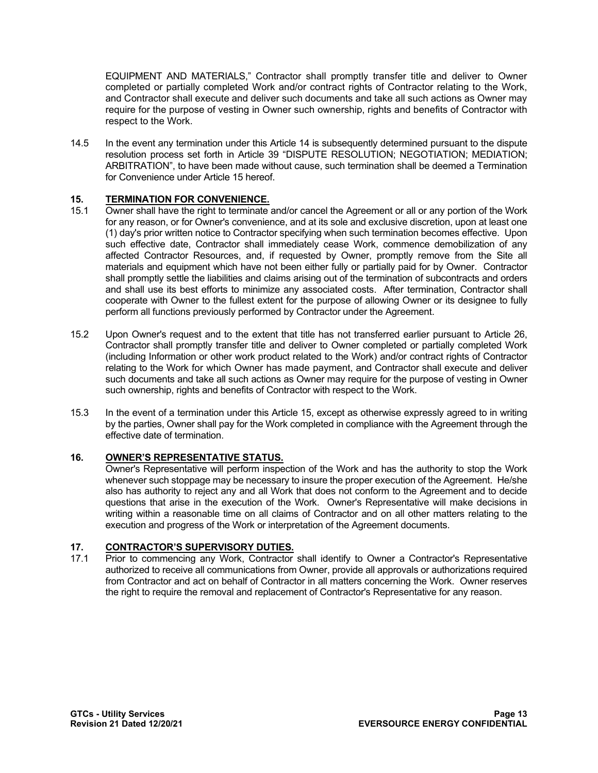EQUIPMENT AND MATERIALS," Contractor shall promptly transfer title and deliver to Owner completed or partially completed Work and/or contract rights of Contractor relating to the Work, and Contractor shall execute and deliver such documents and take all such actions as Owner may require for the purpose of vesting in Owner such ownership, rights and benefits of Contractor with respect to the Work.

14.5 In the event any termination under this Article 14 is subsequently determined pursuant to the dispute resolution process set forth in Article 39 "DISPUTE RESOLUTION; NEGOTIATION; MEDIATION; ARBITRATION", to have been made without cause, such termination shall be deemed a Termination for Convenience under Article 15 hereof.

# **15. <b>TERMINATION FOR CONVENIENCE.**<br>15.1 Owner shall have the right to terminate.

- Owner shall have the right to terminate and/or cancel the Agreement or all or any portion of the Work for any reason, or for Owner's convenience, and at its sole and exclusive discretion, upon at least one (1) day's prior written notice to Contractor specifying when such termination becomes effective. Upon such effective date, Contractor shall immediately cease Work, commence demobilization of any affected Contractor Resources, and, if requested by Owner, promptly remove from the Site all materials and equipment which have not been either fully or partially paid for by Owner. Contractor shall promptly settle the liabilities and claims arising out of the termination of subcontracts and orders and shall use its best efforts to minimize any associated costs. After termination, Contractor shall cooperate with Owner to the fullest extent for the purpose of allowing Owner or its designee to fully perform all functions previously performed by Contractor under the Agreement.
- 15.2 Upon Owner's request and to the extent that title has not transferred earlier pursuant to Article 26, Contractor shall promptly transfer title and deliver to Owner completed or partially completed Work (including Information or other work product related to the Work) and/or contract rights of Contractor relating to the Work for which Owner has made payment, and Contractor shall execute and deliver such documents and take all such actions as Owner may require for the purpose of vesting in Owner such ownership, rights and benefits of Contractor with respect to the Work.
- 15.3 In the event of a termination under this Article 15, except as otherwise expressly agreed to in writing by the parties, Owner shall pay for the Work completed in compliance with the Agreement through the effective date of termination.

## **16. OWNER'S REPRESENTATIVE STATUS.**

Owner's Representative will perform inspection of the Work and has the authority to stop the Work whenever such stoppage may be necessary to insure the proper execution of the Agreement. He/she also has authority to reject any and all Work that does not conform to the Agreement and to decide questions that arise in the execution of the Work. Owner's Representative will make decisions in writing within a reasonable time on all claims of Contractor and on all other matters relating to the execution and progress of the Work or interpretation of the Agreement documents.

## **17. CONTRACTOR'S SUPERVISORY DUTIES.**

17.1 Prior to commencing any Work, Contractor shall identify to Owner a Contractor's Representative authorized to receive all communications from Owner, provide all approvals or authorizations required from Contractor and act on behalf of Contractor in all matters concerning the Work. Owner reserves the right to require the removal and replacement of Contractor's Representative for any reason.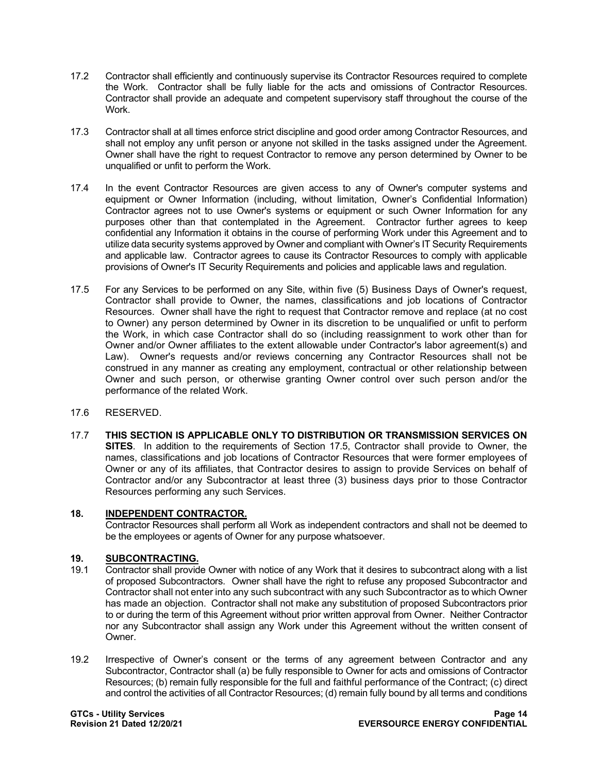- 17.2 Contractor shall efficiently and continuously supervise its Contractor Resources required to complete the Work. Contractor shall be fully liable for the acts and omissions of Contractor Resources. Contractor shall provide an adequate and competent supervisory staff throughout the course of the Work.
- 17.3 Contractor shall at all times enforce strict discipline and good order among Contractor Resources, and shall not employ any unfit person or anyone not skilled in the tasks assigned under the Agreement. Owner shall have the right to request Contractor to remove any person determined by Owner to be unqualified or unfit to perform the Work.
- 17.4 In the event Contractor Resources are given access to any of Owner's computer systems and equipment or Owner Information (including, without limitation, Owner's Confidential Information) Contractor agrees not to use Owner's systems or equipment or such Owner Information for any purposes other than that contemplated in the Agreement. Contractor further agrees to keep confidential any Information it obtains in the course of performing Work under this Agreement and to utilize data security systems approved by Owner and compliant with Owner's IT Security Requirements and applicable law. Contractor agrees to cause its Contractor Resources to comply with applicable provisions of Owner's IT Security Requirements and policies and applicable laws and regulation.
- 17.5 For any Services to be performed on any Site, within five (5) Business Days of Owner's request, Contractor shall provide to Owner, the names, classifications and job locations of Contractor Resources. Owner shall have the right to request that Contractor remove and replace (at no cost to Owner) any person determined by Owner in its discretion to be unqualified or unfit to perform the Work, in which case Contractor shall do so (including reassignment to work other than for Owner and/or Owner affiliates to the extent allowable under Contractor's labor agreement(s) and Law). Owner's requests and/or reviews concerning any Contractor Resources shall not be construed in any manner as creating any employment, contractual or other relationship between Owner and such person, or otherwise granting Owner control over such person and/or the performance of the related Work.
- 17.6 RESERVED.
- 17.7 **THIS SECTION IS APPLICABLE ONLY TO DISTRIBUTION OR TRANSMISSION SERVICES ON SITES**. In addition to the requirements of Section 17.5, Contractor shall provide to Owner, the names, classifications and job locations of Contractor Resources that were former employees of Owner or any of its affiliates, that Contractor desires to assign to provide Services on behalf of Contractor and/or any Subcontractor at least three (3) business days prior to those Contractor Resources performing any such Services.

## **18. INDEPENDENT CONTRACTOR.**

Contractor Resources shall perform all Work as independent contractors and shall not be deemed to be the employees or agents of Owner for any purpose whatsoever.

# **19. SUBCONTRACTING.**

- 19.1 Contractor shall provide Owner with notice of any Work that it desires to subcontract along with a list of proposed Subcontractors. Owner shall have the right to refuse any proposed Subcontractor and Contractor shall not enter into any such subcontract with any such Subcontractor as to which Owner has made an objection. Contractor shall not make any substitution of proposed Subcontractors prior to or during the term of this Agreement without prior written approval from Owner. Neither Contractor nor any Subcontractor shall assign any Work under this Agreement without the written consent of Owner.
- 19.2 Irrespective of Owner's consent or the terms of any agreement between Contractor and any Subcontractor, Contractor shall (a) be fully responsible to Owner for acts and omissions of Contractor Resources; (b) remain fully responsible for the full and faithful performance of the Contract; (c) direct and control the activities of all Contractor Resources; (d) remain fully bound by all terms and conditions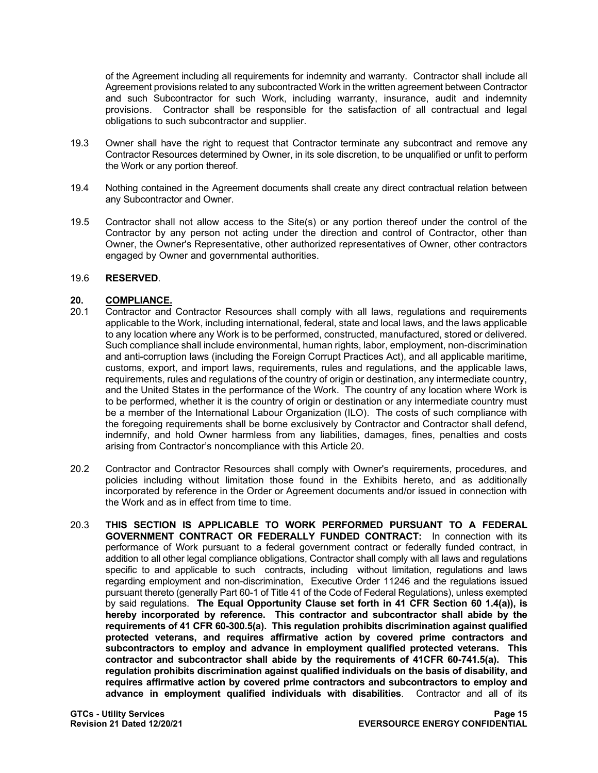of the Agreement including all requirements for indemnity and warranty. Contractor shall include all Agreement provisions related to any subcontracted Work in the written agreement between Contractor and such Subcontractor for such Work, including warranty, insurance, audit and indemnity provisions. Contractor shall be responsible for the satisfaction of all contractual and legal obligations to such subcontractor and supplier.

- 19.3 Owner shall have the right to request that Contractor terminate any subcontract and remove any Contractor Resources determined by Owner, in its sole discretion, to be unqualified or unfit to perform the Work or any portion thereof.
- 19.4 Nothing contained in the Agreement documents shall create any direct contractual relation between any Subcontractor and Owner.
- 19.5 Contractor shall not allow access to the Site(s) or any portion thereof under the control of the Contractor by any person not acting under the direction and control of Contractor, other than Owner, the Owner's Representative, other authorized representatives of Owner, other contractors engaged by Owner and governmental authorities.

### 19.6 **RESERVED**.

## 20.1 **COMPLIANCE.**<br>20.1 Contractor and

- 20.1 Contractor and Contractor Resources shall comply with all laws, regulations and requirements applicable to the Work, including international, federal, state and local laws, and the laws applicable to any location where any Work is to be performed, constructed, manufactured, stored or delivered. Such compliance shall include environmental, human rights, labor, employment, non-discrimination and anti-corruption laws (including the Foreign Corrupt Practices Act), and all applicable maritime, customs, export, and import laws, requirements, rules and regulations, and the applicable laws, requirements, rules and regulations of the country of origin or destination, any intermediate country, and the United States in the performance of the Work. The country of any location where Work is to be performed, whether it is the country of origin or destination or any intermediate country must be a member of the International Labour Organization (ILO). The costs of such compliance with the foregoing requirements shall be borne exclusively by Contractor and Contractor shall defend, indemnify, and hold Owner harmless from any liabilities, damages, fines, penalties and costs arising from Contractor's noncompliance with this Article 20.
- 20.2 Contractor and Contractor Resources shall comply with Owner's requirements, procedures, and policies including without limitation those found in the Exhibits hereto, and as additionally incorporated by reference in the Order or Agreement documents and/or issued in connection with the Work and as in effect from time to time.
- 20.3 **THIS SECTION IS APPLICABLE TO WORK PERFORMED PURSUANT TO A FEDERAL GOVERNMENT CONTRACT OR FEDERALLY FUNDED CONTRACT:** In connection with its performance of Work pursuant to a federal government contract or federally funded contract, in addition to all other legal compliance obligations, Contractor shall comply with all laws and regulations specific to and applicable to such contracts, including without limitation, regulations and laws regarding employment and non-discrimination, Executive Order 11246 and the regulations issued pursuant thereto (generally Part 60-1 of Title 41 of the Code of Federal Regulations), unless exempted by said regulations. **The Equal Opportunity Clause set forth in 41 CFR Section 60 1.4(a)), is hereby incorporated by reference. This contractor and subcontractor shall abide by the requirements of 41 CFR 60-300.5(a). This regulation prohibits discrimination against qualified protected veterans, and requires affirmative action by covered prime contractors and subcontractors to employ and advance in employment qualified protected veterans. This contractor and subcontractor shall abide by the requirements of 41CFR 60-741.5(a). This regulation prohibits discrimination against qualified individuals on the basis of disability, and requires affirmative action by covered prime contractors and subcontractors to employ and advance in employment qualified individuals with disabilities**. Contractor and all of its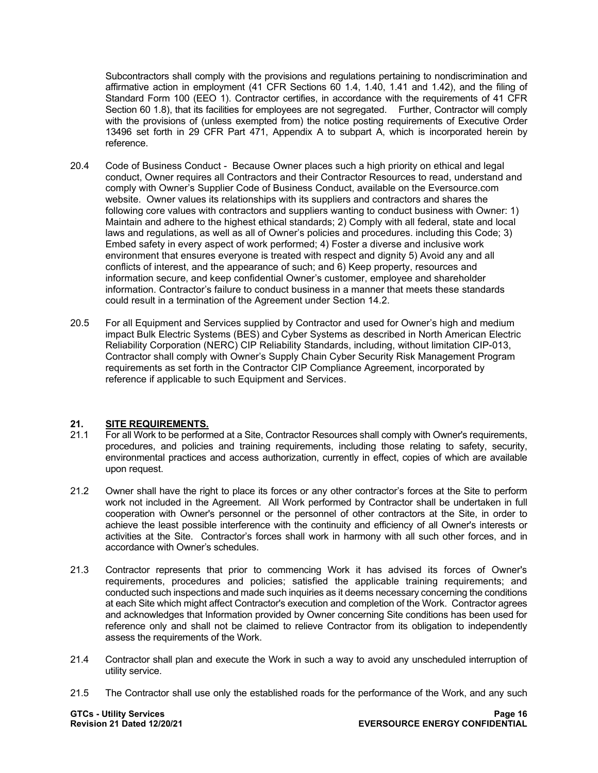Subcontractors shall comply with the provisions and regulations pertaining to nondiscrimination and affirmative action in employment (41 CFR Sections 60 1.4, 1.40, 1.41 and 1.42), and the filing of Standard Form 100 (EEO 1). Contractor certifies, in accordance with the requirements of 41 CFR Section 60 1.8), that its facilities for employees are not segregated. Further, Contractor will comply with the provisions of (unless exempted from) the notice posting requirements of Executive Order 13496 set forth in 29 CFR Part 471, Appendix A to subpart A, which is incorporated herein by reference.

- 20.4 Code of Business Conduct Because Owner places such a high priority on ethical and legal conduct, Owner requires all Contractors and their Contractor Resources to read, understand and comply with Owner's Supplier Code of Business Conduct, available on the Eversource.com website. Owner values its relationships with its suppliers and contractors and shares the following core values with contractors and suppliers wanting to conduct business with Owner: 1) Maintain and adhere to the highest ethical standards; 2) Comply with all federal, state and local laws and regulations, as well as all of Owner's policies and procedures. including this Code; 3) Embed safety in every aspect of work performed; 4) Foster a diverse and inclusive work environment that ensures everyone is treated with respect and dignity 5) Avoid any and all conflicts of interest, and the appearance of such; and 6) Keep property, resources and information secure, and keep confidential Owner's customer, employee and shareholder information. Contractor's failure to conduct business in a manner that meets these standards could result in a termination of the Agreement under Section 14.2.
- 20.5 For all Equipment and Services supplied by Contractor and used for Owner's high and medium impact Bulk Electric Systems (BES) and Cyber Systems as described in North American Electric Reliability Corporation (NERC) CIP Reliability Standards, including, without limitation CIP-013, Contractor shall comply with Owner's Supply Chain Cyber Security Risk Management Program requirements as set forth in the Contractor CIP Compliance Agreement, incorporated by reference if applicable to such Equipment and Services.

## 21. **SITE REQUIREMENTS.**<br>21.1 For all Work to be perform

- 21.1 For all Work to be performed at a Site, Contractor Resources shall comply with Owner's requirements, procedures, and policies and training requirements, including those relating to safety, security, environmental practices and access authorization, currently in effect, copies of which are available upon request.
- 21.2 Owner shall have the right to place its forces or any other contractor's forces at the Site to perform work not included in the Agreement. All Work performed by Contractor shall be undertaken in full cooperation with Owner's personnel or the personnel of other contractors at the Site, in order to achieve the least possible interference with the continuity and efficiency of all Owner's interests or activities at the Site. Contractor's forces shall work in harmony with all such other forces, and in accordance with Owner's schedules.
- 21.3 Contractor represents that prior to commencing Work it has advised its forces of Owner's requirements, procedures and policies; satisfied the applicable training requirements; and conducted such inspections and made such inquiries as it deems necessary concerning the conditions at each Site which might affect Contractor's execution and completion of the Work. Contractor agrees and acknowledges that Information provided by Owner concerning Site conditions has been used for reference only and shall not be claimed to relieve Contractor from its obligation to independently assess the requirements of the Work.
- 21.4 Contractor shall plan and execute the Work in such a way to avoid any unscheduled interruption of utility service.
- 21.5 The Contractor shall use only the established roads for the performance of the Work, and any such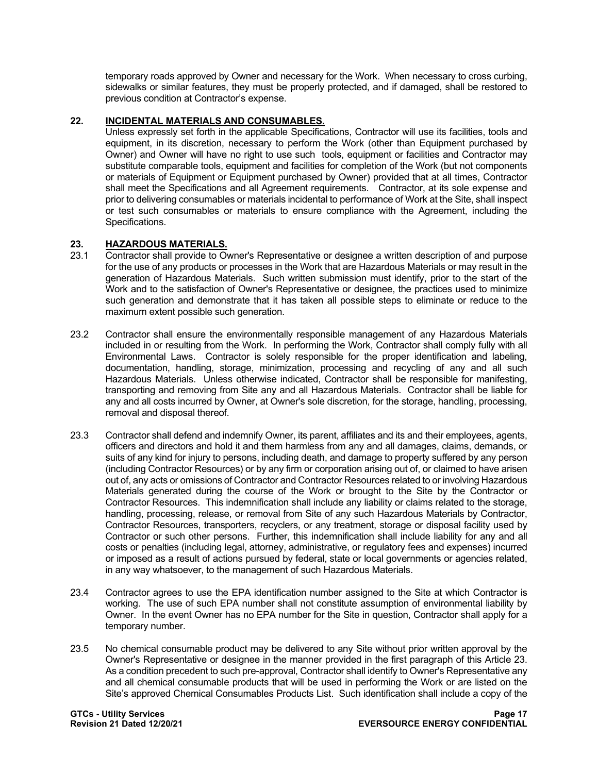temporary roads approved by Owner and necessary for the Work. When necessary to cross curbing, sidewalks or similar features, they must be properly protected, and if damaged, shall be restored to previous condition at Contractor's expense.

## **22. INCIDENTAL MATERIALS AND CONSUMABLES.**

Unless expressly set forth in the applicable Specifications, Contractor will use its facilities, tools and equipment, in its discretion, necessary to perform the Work (other than Equipment purchased by Owner) and Owner will have no right to use such tools, equipment or facilities and Contractor may substitute comparable tools, equipment and facilities for completion of the Work (but not components or materials of Equipment or Equipment purchased by Owner) provided that at all times, Contractor shall meet the Specifications and all Agreement requirements. Contractor, at its sole expense and prior to delivering consumables or materials incidental to performance of Work at the Site, shall inspect or test such consumables or materials to ensure compliance with the Agreement, including the Specifications.

## **23. HAZARDOUS MATERIALS.**

- 23.1 Contractor shall provide to Owner's Representative or designee a written description of and purpose for the use of any products or processes in the Work that are Hazardous Materials or may result in the generation of Hazardous Materials. Such written submission must identify, prior to the start of the Work and to the satisfaction of Owner's Representative or designee, the practices used to minimize such generation and demonstrate that it has taken all possible steps to eliminate or reduce to the maximum extent possible such generation.
- 23.2 Contractor shall ensure the environmentally responsible management of any Hazardous Materials included in or resulting from the Work. In performing the Work, Contractor shall comply fully with all Environmental Laws. Contractor is solely responsible for the proper identification and labeling, documentation, handling, storage, minimization, processing and recycling of any and all such Hazardous Materials. Unless otherwise indicated, Contractor shall be responsible for manifesting, transporting and removing from Site any and all Hazardous Materials. Contractor shall be liable for any and all costs incurred by Owner, at Owner's sole discretion, for the storage, handling, processing, removal and disposal thereof.
- 23.3 Contractor shall defend and indemnify Owner, its parent, affiliates and its and their employees, agents, officers and directors and hold it and them harmless from any and all damages, claims, demands, or suits of any kind for injury to persons, including death, and damage to property suffered by any person (including Contractor Resources) or by any firm or corporation arising out of, or claimed to have arisen out of, any acts or omissions of Contractor and Contractor Resources related to or involving Hazardous Materials generated during the course of the Work or brought to the Site by the Contractor or Contractor Resources. This indemnification shall include any liability or claims related to the storage, handling, processing, release, or removal from Site of any such Hazardous Materials by Contractor, Contractor Resources, transporters, recyclers, or any treatment, storage or disposal facility used by Contractor or such other persons. Further, this indemnification shall include liability for any and all costs or penalties (including legal, attorney, administrative, or regulatory fees and expenses) incurred or imposed as a result of actions pursued by federal, state or local governments or agencies related, in any way whatsoever, to the management of such Hazardous Materials.
- 23.4 Contractor agrees to use the EPA identification number assigned to the Site at which Contractor is working. The use of such EPA number shall not constitute assumption of environmental liability by Owner. In the event Owner has no EPA number for the Site in question, Contractor shall apply for a temporary number.
- 23.5 No chemical consumable product may be delivered to any Site without prior written approval by the Owner's Representative or designee in the manner provided in the first paragraph of this Article 23. As a condition precedent to such pre-approval, Contractor shall identify to Owner's Representative any and all chemical consumable products that will be used in performing the Work or are listed on the Site's approved Chemical Consumables Products List. Such identification shall include a copy of the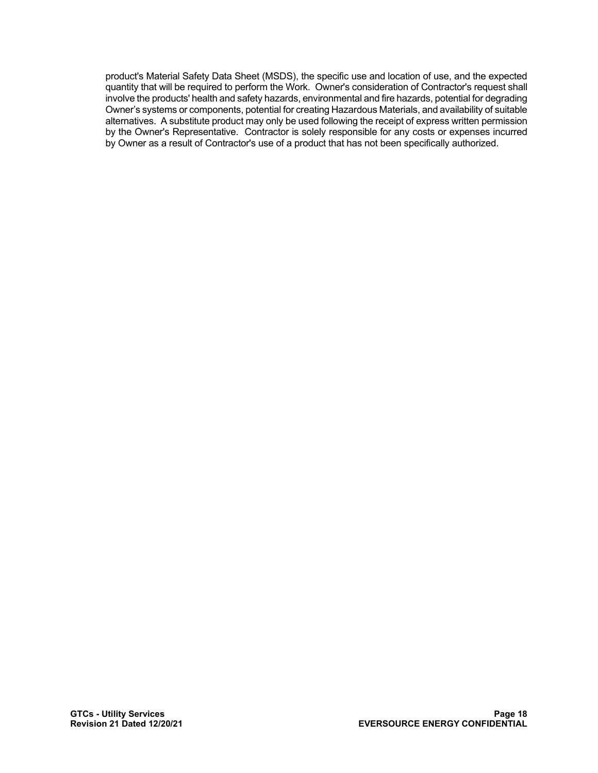product's Material Safety Data Sheet (MSDS), the specific use and location of use, and the expected quantity that will be required to perform the Work. Owner's consideration of Contractor's request shall involve the products' health and safety hazards, environmental and fire hazards, potential for degrading Owner's systems or components, potential for creating Hazardous Materials, and availability of suitable alternatives. A substitute product may only be used following the receipt of express written permission by the Owner's Representative. Contractor is solely responsible for any costs or expenses incurred by Owner as a result of Contractor's use of a product that has not been specifically authorized.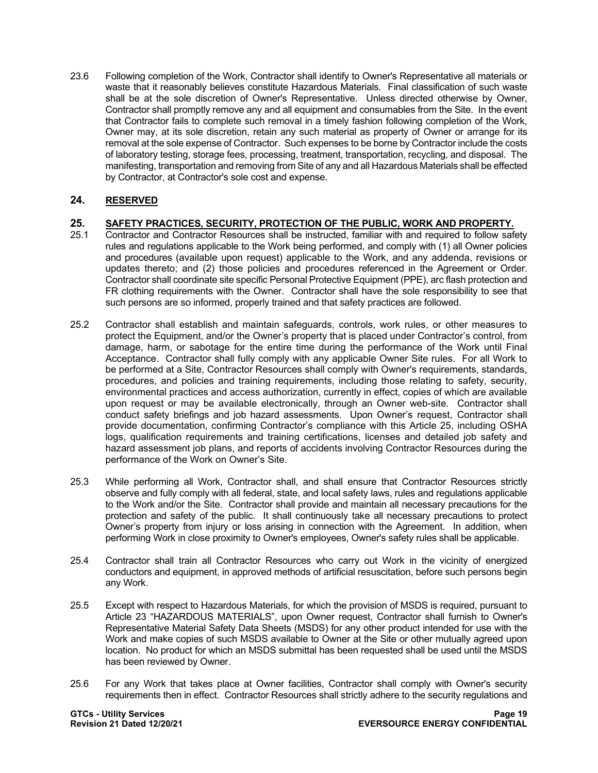23.6 Following completion of the Work, Contractor shall identify to Owner's Representative all materials or waste that it reasonably believes constitute Hazardous Materials. Final classification of such waste shall be at the sole discretion of Owner's Representative. Unless directed otherwise by Owner, Contractor shall promptly remove any and all equipment and consumables from the Site. In the event that Contractor fails to complete such removal in a timely fashion following completion of the Work, Owner may, at its sole discretion, retain any such material as property of Owner or arrange for its removal at the sole expense of Contractor. Such expenses to be borne by Contractor include the costs of laboratory testing, storage fees, processing, treatment, transportation, recycling, and disposal. The manifesting, transportation and removing from Site of any and all Hazardous Materials shall be effected by Contractor, at Contractor's sole cost and expense.

## **24. RESERVED**

# **25. SAFETY PRACTICES, SECURITY, PROTECTION OF THE PUBLIC, WORK AND PROPERTY.**

- 25.1 Contractor and Contractor Resources shall be instructed, familiar with and required to follow safety rules and regulations applicable to the Work being performed, and comply with (1) all Owner policies and procedures (available upon request) applicable to the Work, and any addenda, revisions or updates thereto; and (2) those policies and procedures referenced in the Agreement or Order. Contractor shall coordinate site specific Personal Protective Equipment (PPE), arc flash protection and FR clothing requirements with the Owner. Contractor shall have the sole responsibility to see that such persons are so informed, properly trained and that safety practices are followed.
- 25.2 Contractor shall establish and maintain safeguards, controls, work rules, or other measures to protect the Equipment, and/or the Owner's property that is placed under Contractor's control, from damage, harm, or sabotage for the entire time during the performance of the Work until Final Acceptance. Contractor shall fully comply with any applicable Owner Site rules. For all Work to be performed at a Site, Contractor Resources shall comply with Owner's requirements, standards, procedures, and policies and training requirements, including those relating to safety, security, environmental practices and access authorization, currently in effect, copies of which are available upon request or may be available electronically, through an Owner web-site. Contractor shall conduct safety briefings and job hazard assessments. Upon Owner's request, Contractor shall provide documentation, confirming Contractor's compliance with this Article 25, including OSHA logs, qualification requirements and training certifications, licenses and detailed job safety and hazard assessment job plans, and reports of accidents involving Contractor Resources during the performance of the Work on Owner's Site.
- 25.3 While performing all Work, Contractor shall, and shall ensure that Contractor Resources strictly observe and fully comply with all federal, state, and local safety laws, rules and regulations applicable to the Work and/or the Site. Contractor shall provide and maintain all necessary precautions for the protection and safety of the public. It shall continuously take all necessary precautions to protect Owner's property from injury or loss arising in connection with the Agreement. In addition, when performing Work in close proximity to Owner's employees, Owner's safety rules shall be applicable.
- 25.4 Contractor shall train all Contractor Resources who carry out Work in the vicinity of energized conductors and equipment, in approved methods of artificial resuscitation, before such persons begin any Work.
- 25.5 Except with respect to Hazardous Materials, for which the provision of MSDS is required, pursuant to Article 23 "HAZARDOUS MATERIALS", upon Owner request, Contractor shall furnish to Owner's Representative Material Safety Data Sheets (MSDS) for any other product intended for use with the Work and make copies of such MSDS available to Owner at the Site or other mutually agreed upon location. No product for which an MSDS submittal has been requested shall be used until the MSDS has been reviewed by Owner.
- 25.6 For any Work that takes place at Owner facilities, Contractor shall comply with Owner's security requirements then in effect. Contractor Resources shall strictly adhere to the security regulations and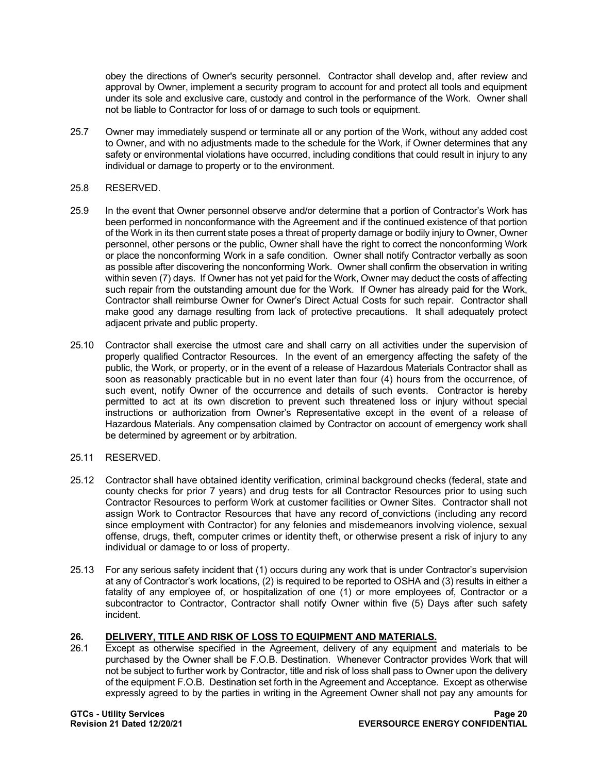obey the directions of Owner's security personnel. Contractor shall develop and, after review and approval by Owner, implement a security program to account for and protect all tools and equipment under its sole and exclusive care, custody and control in the performance of the Work. Owner shall not be liable to Contractor for loss of or damage to such tools or equipment.

25.7 Owner may immediately suspend or terminate all or any portion of the Work, without any added cost to Owner, and with no adjustments made to the schedule for the Work, if Owner determines that any safety or environmental violations have occurred, including conditions that could result in injury to any individual or damage to property or to the environment.

### 25.8 RESERVED.

- 25.9 In the event that Owner personnel observe and/or determine that a portion of Contractor's Work has been performed in nonconformance with the Agreement and if the continued existence of that portion of the Work in its then current state poses a threat of property damage or bodily injury to Owner, Owner personnel, other persons or the public, Owner shall have the right to correct the nonconforming Work or place the nonconforming Work in a safe condition. Owner shall notify Contractor verbally as soon as possible after discovering the nonconforming Work. Owner shall confirm the observation in writing within seven (7) days. If Owner has not yet paid for the Work, Owner may deduct the costs of affecting such repair from the outstanding amount due for the Work. If Owner has already paid for the Work, Contractor shall reimburse Owner for Owner's Direct Actual Costs for such repair. Contractor shall make good any damage resulting from lack of protective precautions. It shall adequately protect adjacent private and public property.
- 25.10 Contractor shall exercise the utmost care and shall carry on all activities under the supervision of properly qualified Contractor Resources. In the event of an emergency affecting the safety of the public, the Work, or property, or in the event of a release of Hazardous Materials Contractor shall as soon as reasonably practicable but in no event later than four (4) hours from the occurrence, of such event, notify Owner of the occurrence and details of such events. Contractor is hereby permitted to act at its own discretion to prevent such threatened loss or injury without special instructions or authorization from Owner's Representative except in the event of a release of Hazardous Materials. Any compensation claimed by Contractor on account of emergency work shall be determined by agreement or by arbitration.

#### 25.11 RESERVED.

- 25.12 Contractor shall have obtained identity verification, criminal background checks (federal, state and county checks for prior 7 years) and drug tests for all Contractor Resources prior to using such Contractor Resources to perform Work at customer facilities or Owner Sites. Contractor shall not assign Work to Contractor Resources that have any record of convictions (including any record since employment with Contractor) for any felonies and misdemeanors involving violence, sexual offense, drugs, theft, computer crimes or identity theft, or otherwise present a risk of injury to any individual or damage to or loss of property.
- 25.13 For any serious safety incident that (1) occurs during any work that is under Contractor's supervision at any of Contractor's work locations, (2) is required to be reported to OSHA and (3) results in either a fatality of any employee of, or hospitalization of one (1) or more employees of, Contractor or a subcontractor to Contractor, Contractor shall notify Owner within five (5) Days after such safety incident.

## **26. DELIVERY, TITLE AND RISK OF LOSS TO EQUIPMENT AND MATERIALS.**

Except as otherwise specified in the Agreement, delivery of any equipment and materials to be purchased by the Owner shall be F.O.B. Destination. Whenever Contractor provides Work that will not be subject to further work by Contractor, title and risk of loss shall pass to Owner upon the delivery of the equipment F.O.B. Destination set forth in the Agreement and Acceptance. Except as otherwise expressly agreed to by the parties in writing in the Agreement Owner shall not pay any amounts for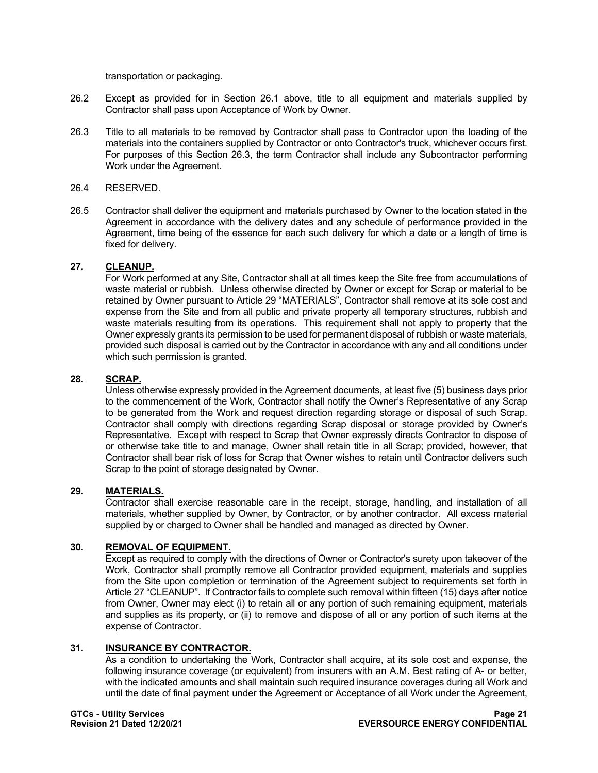transportation or packaging.

- 26.2 Except as provided for in Section 26.1 above, title to all equipment and materials supplied by Contractor shall pass upon Acceptance of Work by Owner.
- 26.3 Title to all materials to be removed by Contractor shall pass to Contractor upon the loading of the materials into the containers supplied by Contractor or onto Contractor's truck, whichever occurs first. For purposes of this Section 26.3, the term Contractor shall include any Subcontractor performing Work under the Agreement.

## 26.4 RESERVED.

26.5 Contractor shall deliver the equipment and materials purchased by Owner to the location stated in the Agreement in accordance with the delivery dates and any schedule of performance provided in the Agreement, time being of the essence for each such delivery for which a date or a length of time is fixed for delivery.

### **27. CLEANUP.**

For Work performed at any Site, Contractor shall at all times keep the Site free from accumulations of waste material or rubbish. Unless otherwise directed by Owner or except for Scrap or material to be retained by Owner pursuant to Article 29 "MATERIALS", Contractor shall remove at its sole cost and expense from the Site and from all public and private property all temporary structures, rubbish and waste materials resulting from its operations. This requirement shall not apply to property that the Owner expressly grants its permission to be used for permanent disposal of rubbish or waste materials, provided such disposal is carried out by the Contractor in accordance with any and all conditions under which such permission is granted.

### **28. SCRAP.**

Unless otherwise expressly provided in the Agreement documents, at least five (5) business days prior to the commencement of the Work, Contractor shall notify the Owner's Representative of any Scrap to be generated from the Work and request direction regarding storage or disposal of such Scrap. Contractor shall comply with directions regarding Scrap disposal or storage provided by Owner's Representative. Except with respect to Scrap that Owner expressly directs Contractor to dispose of or otherwise take title to and manage, Owner shall retain title in all Scrap; provided, however, that Contractor shall bear risk of loss for Scrap that Owner wishes to retain until Contractor delivers such Scrap to the point of storage designated by Owner.

## **29. MATERIALS.**

Contractor shall exercise reasonable care in the receipt, storage, handling, and installation of all materials, whether supplied by Owner, by Contractor, or by another contractor. All excess material supplied by or charged to Owner shall be handled and managed as directed by Owner.

## **30. REMOVAL OF EQUIPMENT.**

Except as required to comply with the directions of Owner or Contractor's surety upon takeover of the Work, Contractor shall promptly remove all Contractor provided equipment, materials and supplies from the Site upon completion or termination of the Agreement subject to requirements set forth in Article 27 "CLEANUP". If Contractor fails to complete such removal within fifteen (15) days after notice from Owner, Owner may elect (i) to retain all or any portion of such remaining equipment, materials and supplies as its property, or (ii) to remove and dispose of all or any portion of such items at the expense of Contractor.

#### **31. INSURANCE BY CONTRACTOR.**

As a condition to undertaking the Work, Contractor shall acquire, at its sole cost and expense, the following insurance coverage (or equivalent) from insurers with an A.M. Best rating of A- or better, with the indicated amounts and shall maintain such required insurance coverages during all Work and until the date of final payment under the Agreement or Acceptance of all Work under the Agreement,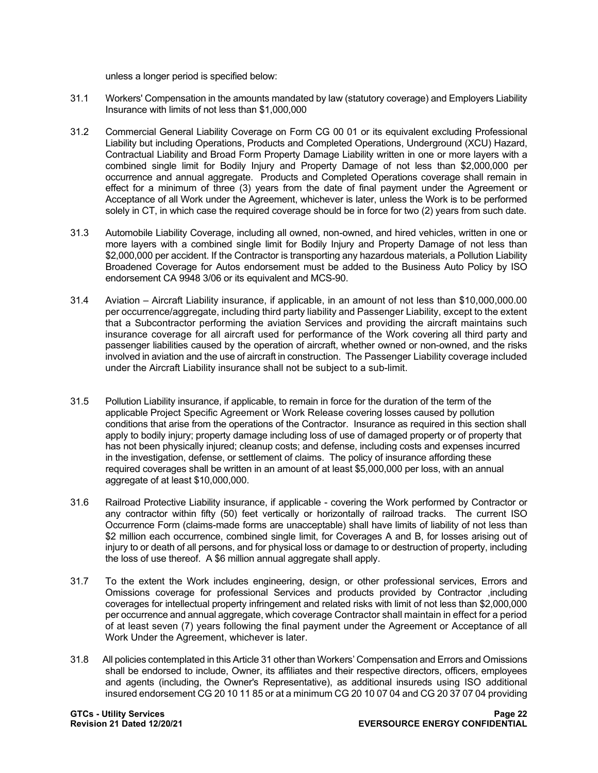unless a longer period is specified below:

- 31.1 Workers' Compensation in the amounts mandated by law (statutory coverage) and Employers Liability Insurance with limits of not less than \$1,000,000
- 31.2 Commercial General Liability Coverage on Form CG 00 01 or its equivalent excluding Professional Liability but including Operations, Products and Completed Operations, Underground (XCU) Hazard, Contractual Liability and Broad Form Property Damage Liability written in one or more layers with a combined single limit for Bodily Injury and Property Damage of not less than \$2,000,000 per occurrence and annual aggregate. Products and Completed Operations coverage shall remain in effect for a minimum of three (3) years from the date of final payment under the Agreement or Acceptance of all Work under the Agreement, whichever is later, unless the Work is to be performed solely in CT, in which case the required coverage should be in force for two (2) years from such date.
- 31.3 Automobile Liability Coverage, including all owned, non-owned, and hired vehicles, written in one or more layers with a combined single limit for Bodily Injury and Property Damage of not less than \$2,000,000 per accident. If the Contractor is transporting any hazardous materials, a Pollution Liability Broadened Coverage for Autos endorsement must be added to the Business Auto Policy by ISO endorsement CA 9948 3/06 or its equivalent and MCS-90.
- 31.4 Aviation Aircraft Liability insurance, if applicable, in an amount of not less than \$10,000,000.00 per occurrence/aggregate, including third party liability and Passenger Liability, except to the extent that a Subcontractor performing the aviation Services and providing the aircraft maintains such insurance coverage for all aircraft used for performance of the Work covering all third party and passenger liabilities caused by the operation of aircraft, whether owned or non-owned, and the risks involved in aviation and the use of aircraft in construction. The Passenger Liability coverage included under the Aircraft Liability insurance shall not be subject to a sub-limit.
- 31.5 Pollution Liability insurance, if applicable, to remain in force for the duration of the term of the applicable Project Specific Agreement or Work Release covering losses caused by pollution conditions that arise from the operations of the Contractor. Insurance as required in this section shall apply to bodily injury; property damage including loss of use of damaged property or of property that has not been physically injured; cleanup costs; and defense, including costs and expenses incurred in the investigation, defense, or settlement of claims. The policy of insurance affording these required coverages shall be written in an amount of at least \$5,000,000 per loss, with an annual aggregate of at least \$10,000,000.
- 31.6 Railroad Protective Liability insurance, if applicable covering the Work performed by Contractor or any contractor within fifty (50) feet vertically or horizontally of railroad tracks. The current ISO Occurrence Form (claims-made forms are unacceptable) shall have limits of liability of not less than \$2 million each occurrence, combined single limit, for Coverages A and B, for losses arising out of injury to or death of all persons, and for physical loss or damage to or destruction of property, including the loss of use thereof. A \$6 million annual aggregate shall apply.
- 31.7 To the extent the Work includes engineering, design, or other professional services, Errors and Omissions coverage for professional Services and products provided by Contractor ,including coverages for intellectual property infringement and related risks with limit of not less than \$2,000,000 per occurrence and annual aggregate, which coverage Contractor shall maintain in effect for a period of at least seven (7) years following the final payment under the Agreement or Acceptance of all Work Under the Agreement, whichever is later.
- 31.8 All policies contemplated in this Article 31 other than Workers' Compensation and Errors and Omissions shall be endorsed to include, Owner, its affiliates and their respective directors, officers, employees and agents (including, the Owner's Representative), as additional insureds using ISO additional insured endorsement CG 20 10 11 85 or at a minimum CG 20 10 07 04 and CG 20 37 07 04 providing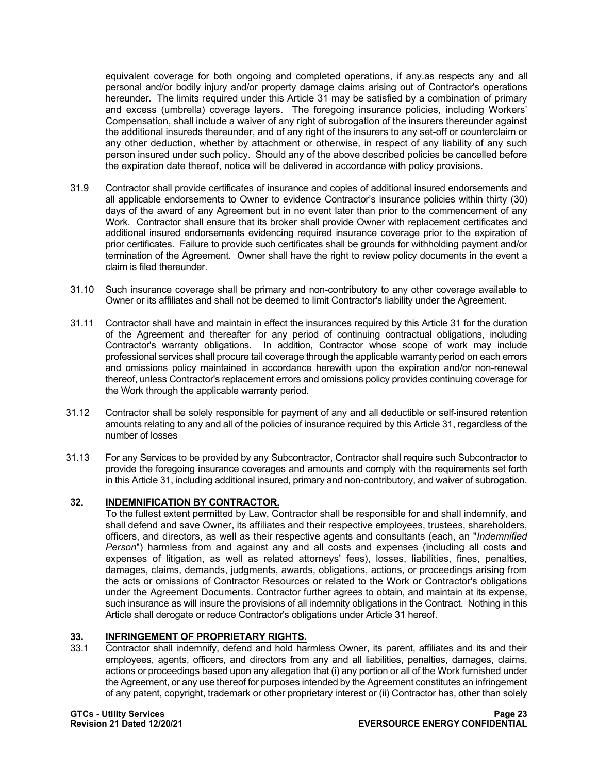equivalent coverage for both ongoing and completed operations, if any.as respects any and all personal and/or bodily injury and/or property damage claims arising out of Contractor's operations hereunder. The limits required under this Article 31 may be satisfied by a combination of primary and excess (umbrella) coverage layers. The foregoing insurance policies, including Workers' Compensation, shall include a waiver of any right of subrogation of the insurers thereunder against the additional insureds thereunder, and of any right of the insurers to any set-off or counterclaim or any other deduction, whether by attachment or otherwise, in respect of any liability of any such person insured under such policy. Should any of the above described policies be cancelled before the expiration date thereof, notice will be delivered in accordance with policy provisions.

- 31.9 Contractor shall provide certificates of insurance and copies of additional insured endorsements and all applicable endorsements to Owner to evidence Contractor's insurance policies within thirty (30) days of the award of any Agreement but in no event later than prior to the commencement of any Work. Contractor shall ensure that its broker shall provide Owner with replacement certificates and additional insured endorsements evidencing required insurance coverage prior to the expiration of prior certificates. Failure to provide such certificates shall be grounds for withholding payment and/or termination of the Agreement. Owner shall have the right to review policy documents in the event a claim is filed thereunder.
- 31.10 Such insurance coverage shall be primary and non-contributory to any other coverage available to Owner or its affiliates and shall not be deemed to limit Contractor's liability under the Agreement.
- 31.11 Contractor shall have and maintain in effect the insurances required by this Article 31 for the duration of the Agreement and thereafter for any period of continuing contractual obligations, including Contractor's warranty obligations. In addition, Contractor whose scope of work may include professional services shall procure tail coverage through the applicable warranty period on each errors and omissions policy maintained in accordance herewith upon the expiration and/or non-renewal thereof, unless Contractor's replacement errors and omissions policy provides continuing coverage for the Work through the applicable warranty period.
- 31.12 Contractor shall be solely responsible for payment of any and all deductible or self-insured retention amounts relating to any and all of the policies of insurance required by this Article 31, regardless of the number of losses
- 31.13 For any Services to be provided by any Subcontractor, Contractor shall require such Subcontractor to provide the foregoing insurance coverages and amounts and comply with the requirements set forth in this Article 31, including additional insured, primary and non-contributory, and waiver of subrogation.

## **32. INDEMNIFICATION BY CONTRACTOR.**

To the fullest extent permitted by Law, Contractor shall be responsible for and shall indemnify, and shall defend and save Owner, its affiliates and their respective employees, trustees, shareholders, officers, and directors, as well as their respective agents and consultants (each, an "*Indemnified Person*") harmless from and against any and all costs and expenses (including all costs and expenses of litigation, as well as related attorneys' fees), losses, liabilities, fines, penalties, damages, claims, demands, judgments, awards, obligations, actions, or proceedings arising from the acts or omissions of Contractor Resources or related to the Work or Contractor's obligations under the Agreement Documents. Contractor further agrees to obtain, and maintain at its expense, such insurance as will insure the provisions of all indemnity obligations in the Contract. Nothing in this Article shall derogate or reduce Contractor's obligations under Article 31 hereof.

## **33. INFRINGEMENT OF PROPRIETARY RIGHTS.**<br>33.1 Contractor shall indemnify defend and hold hare

Contractor shall indemnify, defend and hold harmless Owner, its parent, affiliates and its and their employees, agents, officers, and directors from any and all liabilities, penalties, damages, claims, actions or proceedings based upon any allegation that (i) any portion or all of the Work furnished under the Agreement, or any use thereof for purposes intended by the Agreement constitutes an infringement of any patent, copyright, trademark or other proprietary interest or (ii) Contractor has, other than solely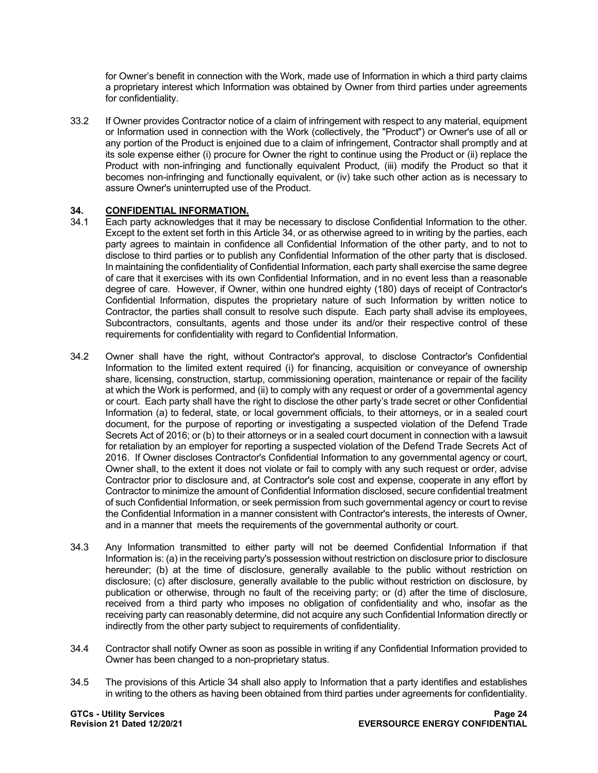for Owner's benefit in connection with the Work, made use of Information in which a third party claims a proprietary interest which Information was obtained by Owner from third parties under agreements for confidentiality.

33.2 If Owner provides Contractor notice of a claim of infringement with respect to any material, equipment or Information used in connection with the Work (collectively, the "Product") or Owner's use of all or any portion of the Product is enjoined due to a claim of infringement, Contractor shall promptly and at its sole expense either (i) procure for Owner the right to continue using the Product or (ii) replace the Product with non-infringing and functionally equivalent Product, (iii) modify the Product so that it becomes non-infringing and functionally equivalent, or (iv) take such other action as is necessary to assure Owner's uninterrupted use of the Product.

## **34. CONFIDENTIAL INFORMATION.**

- 34.1 Each party acknowledges that it may be necessary to disclose Confidential Information to the other. Except to the extent set forth in this Article 34, or as otherwise agreed to in writing by the parties, each party agrees to maintain in confidence all Confidential Information of the other party, and to not to disclose to third parties or to publish any Confidential Information of the other party that is disclosed. In maintaining the confidentiality of Confidential Information, each party shall exercise the same degree of care that it exercises with its own Confidential Information, and in no event less than a reasonable degree of care. However, if Owner, within one hundred eighty (180) days of receipt of Contractor's Confidential Information, disputes the proprietary nature of such Information by written notice to Contractor, the parties shall consult to resolve such dispute. Each party shall advise its employees, Subcontractors, consultants, agents and those under its and/or their respective control of these requirements for confidentiality with regard to Confidential Information.
- 34.2 Owner shall have the right, without Contractor's approval, to disclose Contractor's Confidential Information to the limited extent required (i) for financing, acquisition or conveyance of ownership share, licensing, construction, startup, commissioning operation, maintenance or repair of the facility at which the Work is performed, and (ii) to comply with any request or order of a governmental agency or court. Each party shall have the right to disclose the other party's trade secret or other Confidential Information (a) to federal, state, or local government officials, to their attorneys, or in a sealed court document, for the purpose of reporting or investigating a suspected violation of the Defend Trade Secrets Act of 2016; or (b) to their attorneys or in a sealed court document in connection with a lawsuit for retaliation by an employer for reporting a suspected violation of the Defend Trade Secrets Act of 2016. If Owner discloses Contractor's Confidential Information to any governmental agency or court, Owner shall, to the extent it does not violate or fail to comply with any such request or order, advise Contractor prior to disclosure and, at Contractor's sole cost and expense, cooperate in any effort by Contractor to minimize the amount of Confidential Information disclosed, secure confidential treatment of such Confidential Information, or seek permission from such governmental agency or court to revise the Confidential Information in a manner consistent with Contractor's interests, the interests of Owner, and in a manner that meets the requirements of the governmental authority or court.
- 34.3 Any Information transmitted to either party will not be deemed Confidential Information if that Information is: (a) in the receiving party's possession without restriction on disclosure prior to disclosure hereunder; (b) at the time of disclosure, generally available to the public without restriction on disclosure; (c) after disclosure, generally available to the public without restriction on disclosure, by publication or otherwise, through no fault of the receiving party; or (d) after the time of disclosure, received from a third party who imposes no obligation of confidentiality and who, insofar as the receiving party can reasonably determine, did not acquire any such Confidential Information directly or indirectly from the other party subject to requirements of confidentiality.
- 34.4 Contractor shall notify Owner as soon as possible in writing if any Confidential Information provided to Owner has been changed to a non-proprietary status.
- 34.5 The provisions of this Article 34 shall also apply to Information that a party identifies and establishes in writing to the others as having been obtained from third parties under agreements for confidentiality.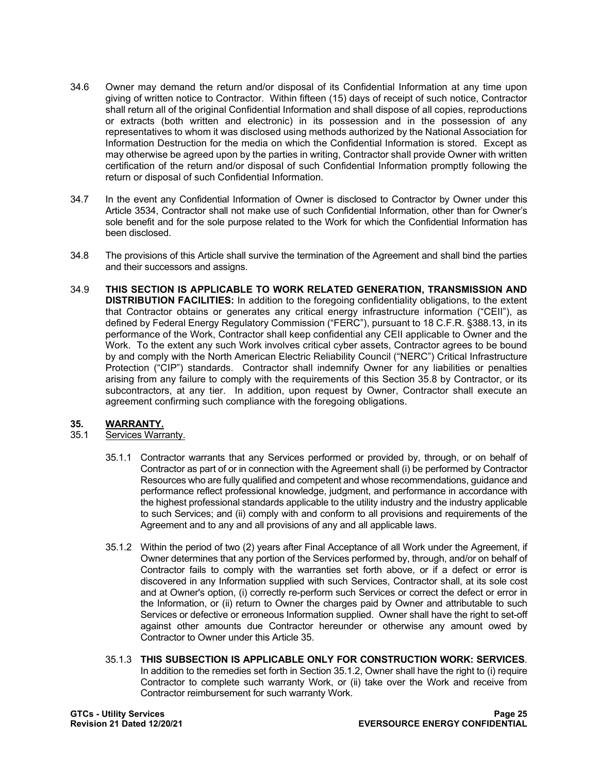- 34.6 Owner may demand the return and/or disposal of its Confidential Information at any time upon giving of written notice to Contractor. Within fifteen (15) days of receipt of such notice, Contractor shall return all of the original Confidential Information and shall dispose of all copies, reproductions or extracts (both written and electronic) in its possession and in the possession of any representatives to whom it was disclosed using methods authorized by the National Association for Information Destruction for the media on which the Confidential Information is stored. Except as may otherwise be agreed upon by the parties in writing, Contractor shall provide Owner with written certification of the return and/or disposal of such Confidential Information promptly following the return or disposal of such Confidential Information.
- 34.7 In the event any Confidential Information of Owner is disclosed to Contractor by Owner under this Article 3534, Contractor shall not make use of such Confidential Information, other than for Owner's sole benefit and for the sole purpose related to the Work for which the Confidential Information has been disclosed.
- 34.8 The provisions of this Article shall survive the termination of the Agreement and shall bind the parties and their successors and assigns.
- 34.9 **THIS SECTION IS APPLICABLE TO WORK RELATED GENERATION, TRANSMISSION AND DISTRIBUTION FACILITIES:** In addition to the foregoing confidentiality obligations, to the extent that Contractor obtains or generates any critical energy infrastructure information ("CEII"), as defined by Federal Energy Regulatory Commission ("FERC"), pursuant to 18 C.F.R. §388.13, in its performance of the Work, Contractor shall keep confidential any CEII applicable to Owner and the Work. To the extent any such Work involves critical cyber assets, Contractor agrees to be bound by and comply with the North American Electric Reliability Council ("NERC") Critical Infrastructure Protection ("CIP") standards. Contractor shall indemnify Owner for any liabilities or penalties arising from any failure to comply with the requirements of this Section 35.8 by Contractor, or its subcontractors, at any tier. In addition, upon request by Owner, Contractor shall execute an agreement confirming such compliance with the foregoing obligations.

## **35. WARRANTY.**

- Services Warranty.
	- 35.1.1 Contractor warrants that any Services performed or provided by, through, or on behalf of Contractor as part of or in connection with the Agreement shall (i) be performed by Contractor Resources who are fully qualified and competent and whose recommendations, guidance and performance reflect professional knowledge, judgment, and performance in accordance with the highest professional standards applicable to the utility industry and the industry applicable to such Services; and (ii) comply with and conform to all provisions and requirements of the Agreement and to any and all provisions of any and all applicable laws.
	- 35.1.2 Within the period of two (2) years after Final Acceptance of all Work under the Agreement, if Owner determines that any portion of the Services performed by, through, and/or on behalf of Contractor fails to comply with the warranties set forth above, or if a defect or error is discovered in any Information supplied with such Services, Contractor shall, at its sole cost and at Owner's option, (i) correctly re-perform such Services or correct the defect or error in the Information, or (ii) return to Owner the charges paid by Owner and attributable to such Services or defective or erroneous Information supplied. Owner shall have the right to set-off against other amounts due Contractor hereunder or otherwise any amount owed by Contractor to Owner under this Article 35.
	- 35.1.3 **THIS SUBSECTION IS APPLICABLE ONLY FOR CONSTRUCTION WORK: SERVICES**. In addition to the remedies set forth in Section 35.1.2, Owner shall have the right to (i) require Contractor to complete such warranty Work, or (ii) take over the Work and receive from Contractor reimbursement for such warranty Work.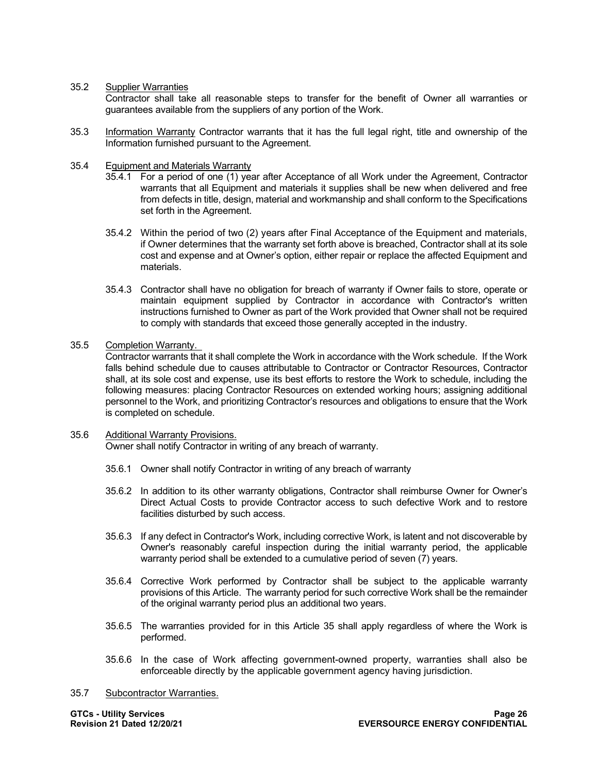35.2 Supplier Warranties

Contractor shall take all reasonable steps to transfer for the benefit of Owner all warranties or guarantees available from the suppliers of any portion of the Work.

35.3 Information Warranty Contractor warrants that it has the full legal right, title and ownership of the Information furnished pursuant to the Agreement.

#### 35.4 Equipment and Materials Warranty

- 35.4.1 For a period of one (1) year after Acceptance of all Work under the Agreement, Contractor warrants that all Equipment and materials it supplies shall be new when delivered and free from defects in title, design, material and workmanship and shall conform to the Specifications set forth in the Agreement.
- 35.4.2 Within the period of two (2) years after Final Acceptance of the Equipment and materials, if Owner determines that the warranty set forth above is breached, Contractor shall at its sole cost and expense and at Owner's option, either repair or replace the affected Equipment and materials.
- 35.4.3 Contractor shall have no obligation for breach of warranty if Owner fails to store, operate or maintain equipment supplied by Contractor in accordance with Contractor's written instructions furnished to Owner as part of the Work provided that Owner shall not be required to comply with standards that exceed those generally accepted in the industry.

#### 35.5 Completion Warranty.

Contractor warrants that it shall complete the Work in accordance with the Work schedule. If the Work falls behind schedule due to causes attributable to Contractor or Contractor Resources, Contractor shall, at its sole cost and expense, use its best efforts to restore the Work to schedule, including the following measures: placing Contractor Resources on extended working hours; assigning additional personnel to the Work, and prioritizing Contractor's resources and obligations to ensure that the Work is completed on schedule.

### 35.6 Additional Warranty Provisions.

Owner shall notify Contractor in writing of any breach of warranty.

- 35.6.1 Owner shall notify Contractor in writing of any breach of warranty
- 35.6.2 In addition to its other warranty obligations, Contractor shall reimburse Owner for Owner's Direct Actual Costs to provide Contractor access to such defective Work and to restore facilities disturbed by such access.
- 35.6.3 If any defect in Contractor's Work, including corrective Work, is latent and not discoverable by Owner's reasonably careful inspection during the initial warranty period, the applicable warranty period shall be extended to a cumulative period of seven (7) years.
- 35.6.4 Corrective Work performed by Contractor shall be subject to the applicable warranty provisions of this Article. The warranty period for such corrective Work shall be the remainder of the original warranty period plus an additional two years.
- 35.6.5 The warranties provided for in this Article 35 shall apply regardless of where the Work is performed.
- 35.6.6 In the case of Work affecting government-owned property, warranties shall also be enforceable directly by the applicable government agency having jurisdiction.
- 35.7 Subcontractor Warranties.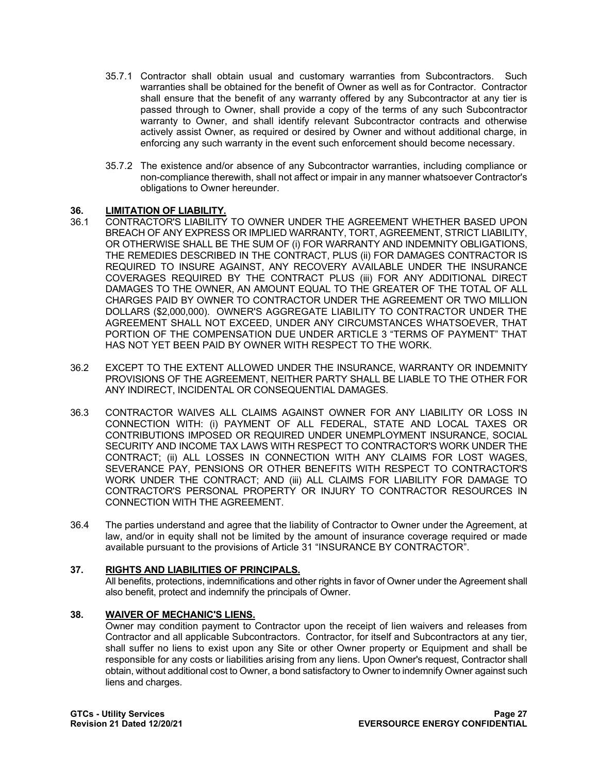- 35.7.1 Contractor shall obtain usual and customary warranties from Subcontractors. Such warranties shall be obtained for the benefit of Owner as well as for Contractor. Contractor shall ensure that the benefit of any warranty offered by any Subcontractor at any tier is passed through to Owner, shall provide a copy of the terms of any such Subcontractor warranty to Owner, and shall identify relevant Subcontractor contracts and otherwise actively assist Owner, as required or desired by Owner and without additional charge, in enforcing any such warranty in the event such enforcement should become necessary.
- 35.7.2 The existence and/or absence of any Subcontractor warranties, including compliance or non-compliance therewith, shall not affect or impair in any manner whatsoever Contractor's obligations to Owner hereunder.

## **36. LIMITATION OF LIABILITY.**

- 36.1 CONTRACTOR'S LIABILITY TO OWNER UNDER THE AGREEMENT WHETHER BASED UPON BREACH OF ANY EXPRESS OR IMPLIED WARRANTY, TORT, AGREEMENT, STRICT LIABILITY, OR OTHERWISE SHALL BE THE SUM OF (i) FOR WARRANTY AND INDEMNITY OBLIGATIONS, THE REMEDIES DESCRIBED IN THE CONTRACT, PLUS (ii) FOR DAMAGES CONTRACTOR IS REQUIRED TO INSURE AGAINST, ANY RECOVERY AVAILABLE UNDER THE INSURANCE COVERAGES REQUIRED BY THE CONTRACT PLUS (iii) FOR ANY ADDITIONAL DIRECT DAMAGES TO THE OWNER, AN AMOUNT EQUAL TO THE GREATER OF THE TOTAL OF ALL CHARGES PAID BY OWNER TO CONTRACTOR UNDER THE AGREEMENT OR TWO MILLION DOLLARS (\$2,000,000). OWNER'S AGGREGATE LIABILITY TO CONTRACTOR UNDER THE AGREEMENT SHALL NOT EXCEED, UNDER ANY CIRCUMSTANCES WHATSOEVER, THAT PORTION OF THE COMPENSATION DUE UNDER ARTICLE 3 "TERMS OF PAYMENT" THAT HAS NOT YET BEEN PAID BY OWNER WITH RESPECT TO THE WORK.
- 36.2 EXCEPT TO THE EXTENT ALLOWED UNDER THE INSURANCE, WARRANTY OR INDEMNITY PROVISIONS OF THE AGREEMENT, NEITHER PARTY SHALL BE LIABLE TO THE OTHER FOR ANY INDIRECT, INCIDENTAL OR CONSEQUENTIAL DAMAGES.
- 36.3 CONTRACTOR WAIVES ALL CLAIMS AGAINST OWNER FOR ANY LIABILITY OR LOSS IN CONNECTION WITH: (i) PAYMENT OF ALL FEDERAL, STATE AND LOCAL TAXES OR CONTRIBUTIONS IMPOSED OR REQUIRED UNDER UNEMPLOYMENT INSURANCE, SOCIAL SECURITY AND INCOME TAX LAWS WITH RESPECT TO CONTRACTOR'S WORK UNDER THE CONTRACT; (ii) ALL LOSSES IN CONNECTION WITH ANY CLAIMS FOR LOST WAGES, SEVERANCE PAY, PENSIONS OR OTHER BENEFITS WITH RESPECT TO CONTRACTOR'S WORK UNDER THE CONTRACT; AND (iii) ALL CLAIMS FOR LIABILITY FOR DAMAGE TO CONTRACTOR'S PERSONAL PROPERTY OR INJURY TO CONTRACTOR RESOURCES IN CONNECTION WITH THE AGREEMENT.
- 36.4 The parties understand and agree that the liability of Contractor to Owner under the Agreement, at law, and/or in equity shall not be limited by the amount of insurance coverage required or made available pursuant to the provisions of Article 31 "INSURANCE BY CONTRACTOR".

#### **37. RIGHTS AND LIABILITIES OF PRINCIPALS.**

All benefits, protections, indemnifications and other rights in favor of Owner under the Agreement shall also benefit, protect and indemnify the principals of Owner.

## **38. WAIVER OF MECHANIC'S LIENS.**

Owner may condition payment to Contractor upon the receipt of lien waivers and releases from Contractor and all applicable Subcontractors. Contractor, for itself and Subcontractors at any tier, shall suffer no liens to exist upon any Site or other Owner property or Equipment and shall be responsible for any costs or liabilities arising from any liens. Upon Owner's request, Contractor shall obtain, without additional cost to Owner, a bond satisfactory to Owner to indemnify Owner against such liens and charges.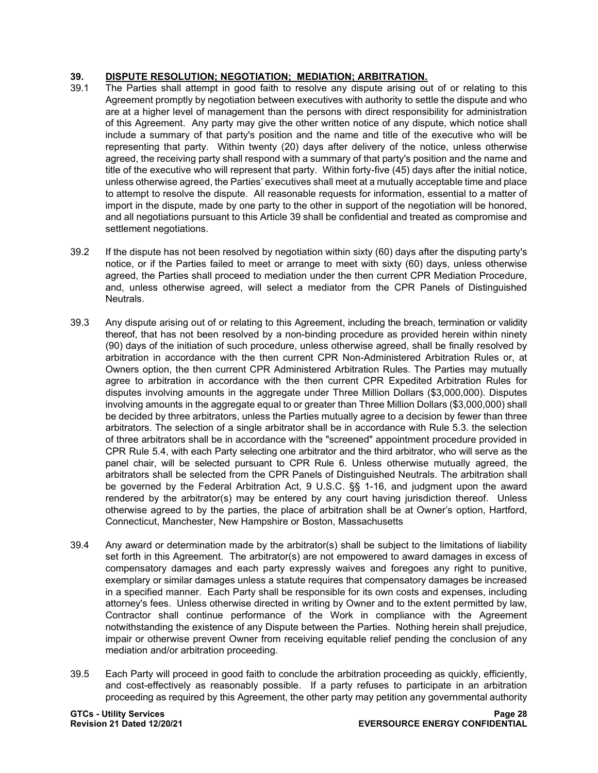## **39. DISPUTE RESOLUTION; NEGOTIATION; MEDIATION; ARBITRATION.**

- 39.1 The Parties shall attempt in good faith to resolve any dispute arising out of or relating to this Agreement promptly by negotiation between executives with authority to settle the dispute and who are at a higher level of management than the persons with direct responsibility for administration of this Agreement. Any party may give the other written notice of any dispute, which notice shall include a summary of that party's position and the name and title of the executive who will be representing that party. Within twenty (20) days after delivery of the notice, unless otherwise agreed, the receiving party shall respond with a summary of that party's position and the name and title of the executive who will represent that party. Within forty-five (45) days after the initial notice, unless otherwise agreed, the Parties' executives shall meet at a mutually acceptable time and place to attempt to resolve the dispute. All reasonable requests for information, essential to a matter of import in the dispute, made by one party to the other in support of the negotiation will be honored, and all negotiations pursuant to this Article 39 shall be confidential and treated as compromise and settlement negotiations.
- 39.2 If the dispute has not been resolved by negotiation within sixty (60) days after the disputing party's notice, or if the Parties failed to meet or arrange to meet with sixty (60) days, unless otherwise agreed, the Parties shall proceed to mediation under the then current CPR Mediation Procedure, and, unless otherwise agreed, will select a mediator from the CPR Panels of Distinguished Neutrals.
- 39.3 Any dispute arising out of or relating to this Agreement, including the breach, termination or validity thereof, that has not been resolved by a non-binding procedure as provided herein within ninety (90) days of the initiation of such procedure, unless otherwise agreed, shall be finally resolved by arbitration in accordance with the then current CPR Non-Administered Arbitration Rules or, at Owners option, the then current CPR Administered Arbitration Rules. The Parties may mutually agree to arbitration in accordance with the then current CPR Expedited Arbitration Rules for disputes involving amounts in the aggregate under Three Million Dollars (\$3,000,000). Disputes involving amounts in the aggregate equal to or greater than Three Million Dollars (\$3,000,000) shall be decided by three arbitrators, unless the Parties mutually agree to a decision by fewer than three arbitrators. The selection of a single arbitrator shall be in accordance with Rule 5.3. the selection of three arbitrators shall be in accordance with the "screened" appointment procedure provided in CPR Rule 5.4, with each Party selecting one arbitrator and the third arbitrator, who will serve as the panel chair, will be selected pursuant to CPR Rule 6. Unless otherwise mutually agreed, the arbitrators shall be selected from the CPR Panels of Distinguished Neutrals. The arbitration shall be governed by the Federal Arbitration Act, 9 U.S.C. §§ 1-16, and judgment upon the award rendered by the arbitrator(s) may be entered by any court having jurisdiction thereof. Unless otherwise agreed to by the parties, the place of arbitration shall be at Owner's option, Hartford, Connecticut, Manchester, New Hampshire or Boston, Massachusetts
- 39.4 Any award or determination made by the arbitrator(s) shall be subject to the limitations of liability set forth in this Agreement. The arbitrator(s) are not empowered to award damages in excess of compensatory damages and each party expressly waives and foregoes any right to punitive, exemplary or similar damages unless a statute requires that compensatory damages be increased in a specified manner. Each Party shall be responsible for its own costs and expenses, including attorney's fees. Unless otherwise directed in writing by Owner and to the extent permitted by law, Contractor shall continue performance of the Work in compliance with the Agreement notwithstanding the existence of any Dispute between the Parties. Nothing herein shall prejudice, impair or otherwise prevent Owner from receiving equitable relief pending the conclusion of any mediation and/or arbitration proceeding.
- 39.5 Each Party will proceed in good faith to conclude the arbitration proceeding as quickly, efficiently, and cost-effectively as reasonably possible. If a party refuses to participate in an arbitration proceeding as required by this Agreement, the other party may petition any governmental authority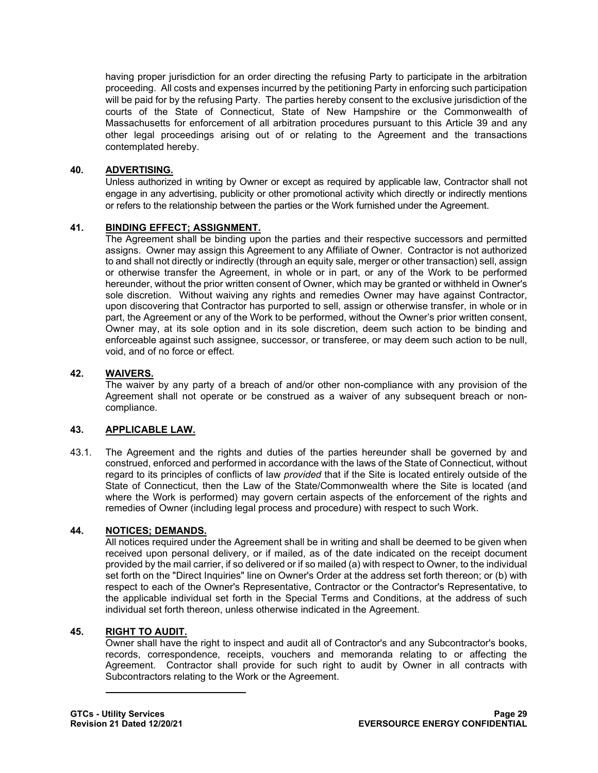having proper jurisdiction for an order directing the refusing Party to participate in the arbitration proceeding. All costs and expenses incurred by the petitioning Party in enforcing such participation will be paid for by the refusing Party. The parties hereby consent to the exclusive jurisdiction of the courts of the State of Connecticut, State of New Hampshire or the Commonwealth of Massachusetts for enforcement of all arbitration procedures pursuant to this Article 39 and any other legal proceedings arising out of or relating to the Agreement and the transactions contemplated hereby.

## **40. ADVERTISING.**

Unless authorized in writing by Owner or except as required by applicable law, Contractor shall not engage in any advertising, publicity or other promotional activity which directly or indirectly mentions or refers to the relationship between the parties or the Work furnished under the Agreement.

## **41. BINDING EFFECT; ASSIGNMENT.**

The Agreement shall be binding upon the parties and their respective successors and permitted assigns. Owner may assign this Agreement to any Affiliate of Owner. Contractor is not authorized to and shall not directly or indirectly (through an equity sale, merger or other transaction) sell, assign or otherwise transfer the Agreement, in whole or in part, or any of the Work to be performed hereunder, without the prior written consent of Owner, which may be granted or withheld in Owner's sole discretion. Without waiving any rights and remedies Owner may have against Contractor, upon discovering that Contractor has purported to sell, assign or otherwise transfer, in whole or in part, the Agreement or any of the Work to be performed, without the Owner's prior written consent, Owner may, at its sole option and in its sole discretion, deem such action to be binding and enforceable against such assignee, successor, or transferee, or may deem such action to be null, void, and of no force or effect.

## **42. WAIVERS.**

The waiver by any party of a breach of and/or other non-compliance with any provision of the Agreement shall not operate or be construed as a waiver of any subsequent breach or noncompliance.

## **43. APPLICABLE LAW.**

43.1. The Agreement and the rights and duties of the parties hereunder shall be governed by and construed, enforced and performed in accordance with the laws of the State of Connecticut, without regard to its principles of conflicts of law *provided* that if the Site is located entirely outside of the State of Connecticut, then the Law of the State/Commonwealth where the Site is located (and where the Work is performed) may govern certain aspects of the enforcement of the rights and remedies of Owner (including legal process and procedure) with respect to such Work.

## **44. NOTICES; DEMANDS.**

All notices required under the Agreement shall be in writing and shall be deemed to be given when received upon personal delivery, or if mailed, as of the date indicated on the receipt document provided by the mail carrier, if so delivered or if so mailed (a) with respect to Owner, to the individual set forth on the "Direct Inquiries" line on Owner's Order at the address set forth thereon; or (b) with respect to each of the Owner's Representative, Contractor or the Contractor's Representative, to the applicable individual set forth in the Special Terms and Conditions, at the address of such individual set forth thereon, unless otherwise indicated in the Agreement.

## **45. RIGHT TO AUDIT.**

Owner shall have the right to inspect and audit all of Contractor's and any Subcontractor's books, records, correspondence, receipts, vouchers and memoranda relating to or affecting the Agreement. Contractor shall provide for such right to audit by Owner in all contracts with Subcontractors relating to the Work or the Agreement.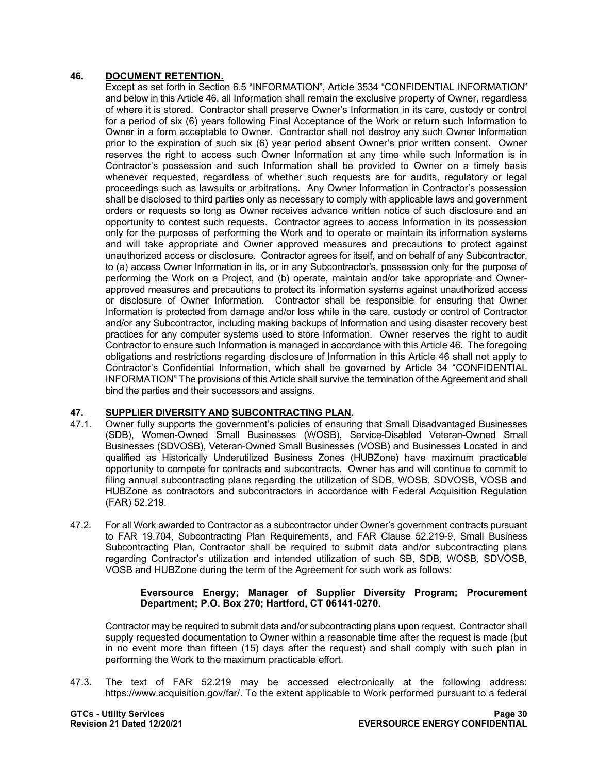## **46. DOCUMENT RETENTION.**

Except as set forth in Section 6.5 "INFORMATION", Article 3534 "CONFIDENTIAL INFORMATION" and below in this Article 46, all Information shall remain the exclusive property of Owner, regardless of where it is stored. Contractor shall preserve Owner's Information in its care, custody or control for a period of six (6) years following Final Acceptance of the Work or return such Information to Owner in a form acceptable to Owner. Contractor shall not destroy any such Owner Information prior to the expiration of such six (6) year period absent Owner's prior written consent. Owner reserves the right to access such Owner Information at any time while such Information is in Contractor's possession and such Information shall be provided to Owner on a timely basis whenever requested, regardless of whether such requests are for audits, regulatory or legal proceedings such as lawsuits or arbitrations. Any Owner Information in Contractor's possession shall be disclosed to third parties only as necessary to comply with applicable laws and government orders or requests so long as Owner receives advance written notice of such disclosure and an opportunity to contest such requests. Contractor agrees to access Information in its possession only for the purposes of performing the Work and to operate or maintain its information systems and will take appropriate and Owner approved measures and precautions to protect against unauthorized access or disclosure. Contractor agrees for itself, and on behalf of any Subcontractor, to (a) access Owner Information in its, or in any Subcontractor's, possession only for the purpose of performing the Work on a Project, and (b) operate, maintain and/or take appropriate and Ownerapproved measures and precautions to protect its information systems against unauthorized access or disclosure of Owner Information. Contractor shall be responsible for ensuring that Owner Information is protected from damage and/or loss while in the care, custody or control of Contractor and/or any Subcontractor, including making backups of Information and using disaster recovery best practices for any computer systems used to store Information. Owner reserves the right to audit Contractor to ensure such Information is managed in accordance with this Article 46. The foregoing obligations and restrictions regarding disclosure of Information in this Article 46 shall not apply to Contractor's Confidential Information, which shall be governed by Article 34 "CONFIDENTIAL INFORMATION" The provisions of this Article shall survive the termination of the Agreement and shall bind the parties and their successors and assigns.

# **47. SUPPLIER DIVERSITY AND SUBCONTRACTING PLAN.**

- Owner fully supports the government's policies of ensuring that Small Disadvantaged Businesses (SDB), Women-Owned Small Businesses (WOSB), Service-Disabled Veteran-Owned Small Businesses (SDVOSB), Veteran-Owned Small Businesses (VOSB) and Businesses Located in and qualified as Historically Underutilized Business Zones (HUBZone) have maximum practicable opportunity to compete for contracts and subcontracts. Owner has and will continue to commit to filing annual subcontracting plans regarding the utilization of SDB, WOSB, SDVOSB, VOSB and HUBZone as contractors and subcontractors in accordance with Federal Acquisition Regulation (FAR) 52.219.
- 47.2. For all Work awarded to Contractor as a subcontractor under Owner's government contracts pursuant to FAR 19.704, Subcontracting Plan Requirements, and FAR Clause 52.219-9, Small Business Subcontracting Plan, Contractor shall be required to submit data and/or subcontracting plans regarding Contractor's utilization and intended utilization of such SB, SDB, WOSB, SDVOSB, VOSB and HUBZone during the term of the Agreement for such work as follows:

#### **Eversource Energy; Manager of Supplier Diversity Program; Procurement Department; P.O. Box 270; Hartford, CT 06141-0270.**

Contractor may be required to submit data and/or subcontracting plans upon request. Contractor shall supply requested documentation to Owner within a reasonable time after the request is made (but in no event more than fifteen (15) days after the request) and shall comply with such plan in performing the Work to the maximum practicable effort.

47.3. The text of FAR 52.219 may be accessed electronically at the following address: [https://www.acquisition.gov/far/.](https://www.acquisition.gov/far/) To the extent applicable to Work performed pursuant to a federal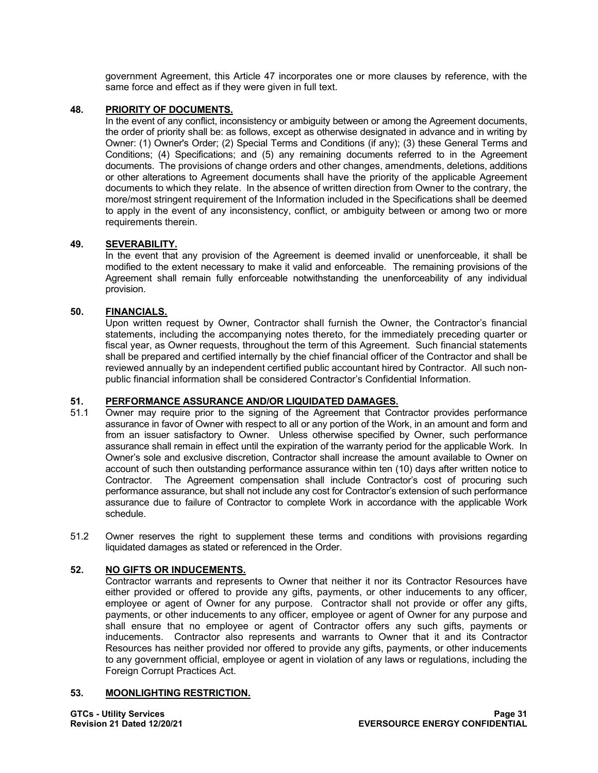government Agreement, this Article 47 incorporates one or more clauses by reference, with the same force and effect as if they were given in full text.

## **48. PRIORITY OF DOCUMENTS.**

In the event of any conflict, inconsistency or ambiguity between or among the Agreement documents, the order of priority shall be: as follows, except as otherwise designated in advance and in writing by Owner: (1) Owner's Order; (2) Special Terms and Conditions (if any); (3) these General Terms and Conditions; (4) Specifications; and (5) any remaining documents referred to in the Agreement documents. The provisions of change orders and other changes, amendments, deletions, additions or other alterations to Agreement documents shall have the priority of the applicable Agreement documents to which they relate. In the absence of written direction from Owner to the contrary, the more/most stringent requirement of the Information included in the Specifications shall be deemed to apply in the event of any inconsistency, conflict, or ambiguity between or among two or more requirements therein.

## **49. SEVERABILITY.**

In the event that any provision of the Agreement is deemed invalid or unenforceable, it shall be modified to the extent necessary to make it valid and enforceable. The remaining provisions of the Agreement shall remain fully enforceable notwithstanding the unenforceability of any individual provision.

### **50. FINANCIALS.**

Upon written request by Owner, Contractor shall furnish the Owner, the Contractor's financial statements, including the accompanying notes thereto, for the immediately preceding quarter or fiscal year, as Owner requests, throughout the term of this Agreement. Such financial statements shall be prepared and certified internally by the chief financial officer of the Contractor and shall be reviewed annually by an independent certified public accountant hired by Contractor. All such nonpublic financial information shall be considered Contractor's Confidential Information.

## **51. PERFORMANCE ASSURANCE AND/OR LIQUIDATED DAMAGES.**

- Owner may require prior to the signing of the Agreement that Contractor provides performance assurance in favor of Owner with respect to all or any portion of the Work, in an amount and form and from an issuer satisfactory to Owner. Unless otherwise specified by Owner, such performance assurance shall remain in effect until the expiration of the warranty period for the applicable Work. In Owner's sole and exclusive discretion, Contractor shall increase the amount available to Owner on account of such then outstanding performance assurance within ten (10) days after written notice to Contractor. The Agreement compensation shall include Contractor's cost of procuring such performance assurance, but shall not include any cost for Contractor's extension of such performance assurance due to failure of Contractor to complete Work in accordance with the applicable Work schedule.
- 51.2 Owner reserves the right to supplement these terms and conditions with provisions regarding liquidated damages as stated or referenced in the Order.

## **52. NO GIFTS OR INDUCEMENTS.**

Contractor warrants and represents to Owner that neither it nor its Contractor Resources have either provided or offered to provide any gifts, payments, or other inducements to any officer, employee or agent of Owner for any purpose. Contractor shall not provide or offer any gifts, payments, or other inducements to any officer, employee or agent of Owner for any purpose and shall ensure that no employee or agent of Contractor offers any such gifts, payments or inducements. Contractor also represents and warrants to Owner that it and its Contractor Resources has neither provided nor offered to provide any gifts, payments, or other inducements to any government official, employee or agent in violation of any laws or regulations, including the Foreign Corrupt Practices Act.

#### **53. MOONLIGHTING RESTRICTION.**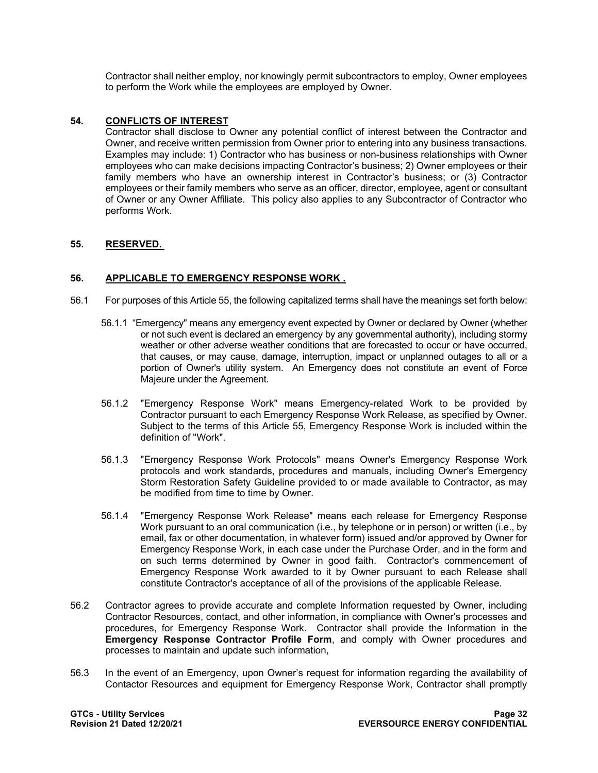Contractor shall neither employ, nor knowingly permit subcontractors to employ, Owner employees to perform the Work while the employees are employed by Owner.

## **54. CONFLICTS OF INTEREST**

Contractor shall disclose to Owner any potential conflict of interest between the Contractor and Owner, and receive written permission from Owner prior to entering into any business transactions. Examples may include: 1) Contractor who has business or non-business relationships with Owner employees who can make decisions impacting Contractor's business; 2) Owner employees or their family members who have an ownership interest in Contractor's business; or (3) Contractor employees or their family members who serve as an officer, director, employee, agent or consultant of Owner or any Owner Affiliate. This policy also applies to any Subcontractor of Contractor who performs Work.

## **55. RESERVED.**

## **56. APPLICABLE TO EMERGENCY RESPONSE WORK .**

- 56.1 For purposes of this Article 55, the following capitalized terms shall have the meanings set forth below:
	- 56.1.1 "Emergency" means any emergency event expected by Owner or declared by Owner (whether or not such event is declared an emergency by any governmental authority), including stormy weather or other adverse weather conditions that are forecasted to occur or have occurred, that causes, or may cause, damage, interruption, impact or unplanned outages to all or a portion of Owner's utility system. An Emergency does not constitute an event of Force Majeure under the Agreement.
	- 56.1.2 "Emergency Response Work" means Emergency-related Work to be provided by Contractor pursuant to each Emergency Response Work Release, as specified by Owner. Subject to the terms of this Article 55, Emergency Response Work is included within the definition of "Work".
	- 56.1.3 "Emergency Response Work Protocols" means Owner's Emergency Response Work protocols and work standards, procedures and manuals, including Owner's Emergency Storm Restoration Safety Guideline provided to or made available to Contractor, as may be modified from time to time by Owner.
	- 56.1.4 "Emergency Response Work Release" means each release for Emergency Response Work pursuant to an oral communication (i.e., by telephone or in person) or written (i.e., by email, fax or other documentation, in whatever form) issued and/or approved by Owner for Emergency Response Work, in each case under the Purchase Order, and in the form and on such terms determined by Owner in good faith. Contractor's commencement of Emergency Response Work awarded to it by Owner pursuant to each Release shall constitute Contractor's acceptance of all of the provisions of the applicable Release.
- 56.2 Contractor agrees to provide accurate and complete Information requested by Owner, including Contractor Resources, contact, and other information, in compliance with Owner's processes and procedures, for Emergency Response Work. Contractor shall provide the Information in the **Emergency Response Contractor Profile Form**, and comply with Owner procedures and processes to maintain and update such information,
- 56.3 In the event of an Emergency, upon Owner's request for information regarding the availability of Contactor Resources and equipment for Emergency Response Work, Contractor shall promptly